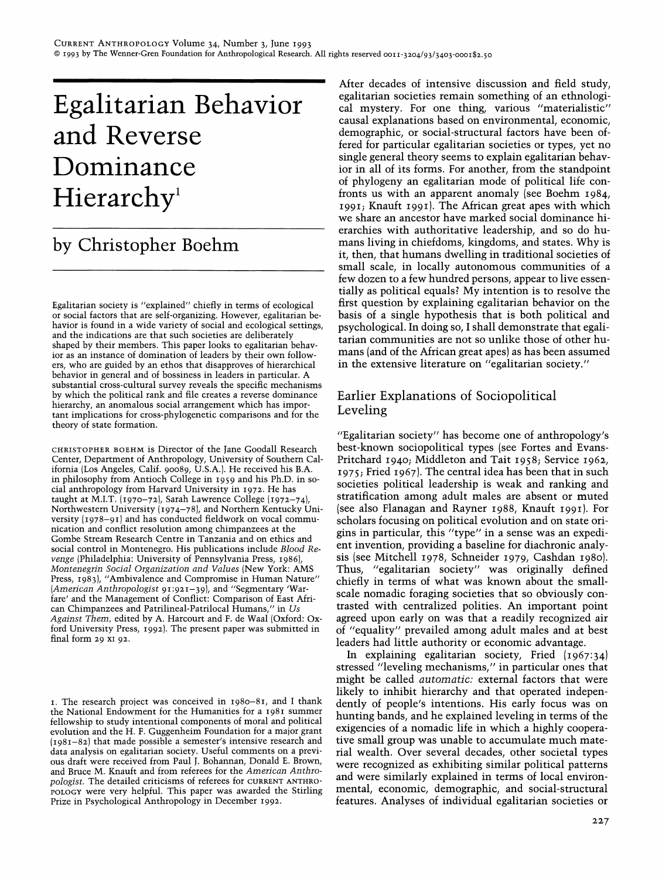# **Egalitarian Behavior and Reverse Dominance**  Hierarchy<sup>1</sup>

# **by Christopher Boehm**

Egalitarian society is "explained" chiefly in terms of ecological or social factors that are self-organizing. However, egalitarian behavior is found in a wide variety of social and ecological settings, and the indications are that such societies are deliberately shaped by their members. This paper looks to egalitarian behavior as an instance of domination of leaders by their own followers, who are guided by an ethos that disapproves of hierarchical behavior in general and of bossiness in leaders in particular. A substantial cross-cultural survey reveals the specific mechanisms by which the political rank and file creates a reverse dominance hierarchy, an anomalous social arrangement whicb has important implications for cross-phylogenetic comparisons and for the theory of state formation.

CHRISTOPHER BOEHM is Director of the Tane Goodall Research Center, Department of Anthropology, University of Southern California (Los Angeles, Calif. 90089, U.S.A.). He received his B.A. in philosophy from Antioch College in 1959 and his PhD. in social anthropology from Harvard University in 1972. He has taught at M.I.T. (1970-72), Sarah Lawrence College (1972-74), Northwestern University (1974-78), and Northern Kentucky University (1978-91) and has conducted fieldwork on vocal communication and conflict resolution among chimpanzees at the Gombe Stream Research Centre in Tanzania and on ethics and social control in Montenegro. His publications include *Blood Revenge* (Philadelphia: University of Pennsylvania Press, 1986), *Montenegrin Social Organization and Values* (New York: AMS Press, 1983), "Ambivalence and Compromise in Human Nature" *(American Anthropologist* 91:921-39), and "Segmentary 'Warfare' and the Management of Conflict: Comparison of East African Chimpanzees and Patrilineal-Patrilocal Humans," in *Us Against Them,* edited by A. Harcourt and F. de Waal (Oxford: Oxford University Press, 1992). The present paper was submitted in final form 29 XI 92.

1. The research project was conceived in 1980-81, and I thank the National Endowment for the Humanities for a 1981 summer fellowship to study intentional components of moral and political evolution and the H. F. Guggenheim Foundation for a major grant (1981-82) that made possible a semester's intensive research and data analysis on egalitarian society. Useful comments on a previous draft were received from Paul T. Bohannan, Donald E. Brown, and Bruce M. Knauft and from referees for the *American Anthropologist.* The detailed criticisms of referees for CURRENT ANTHRO-POLOGY were very helpful. This paper was awarded the Stirling Prize in Psychological Anthropology in December 1992.

After decades of intensive discussion and field study, egalitarian societies remain something of an ethnological mystery. For one thing, various "materialistic" causal explanations based on environmental, economic, demographic, or social-structural factors have been offered for particular egalitarian societies or types, yet no single general theory seems to explain egalitarian behavior in all of its forms. For another, from the standpoint of phylogeny an egalitarian mode of political life confronts us with an apparent anomaly (see Boehm 1984, 1991; Knauft 1991). The African great apes with which we share an ancestor have marked social dominance hierarchies with authoritative leadership, and so do humans living in chiefdoms, kingdoms, and states. Why is it, then, that humans dwelling in traditional societies of small scale, in locally autonomous communities of a few dozen to a few hundred persons, appear to live essentially as political equals? My intention is to resolve the first question by explaining egalitarian behavior on the basis of a single hypothesis that is both political and psychological. **In** doing so, I shall demonstrate that egalitarian communities are not so unlike those of other humans (and of the African great apes) as has been assumed in the extensive literature on "egalitarian society."

# Earlier Explanations of Sociopolitical Leveling

"Egalitarian society" has become one of anthropology's best-known sociopolitical types (see Fortes and Evans-Pritchard 1940; Middleton and Tait 1958; Service 1962, 1975; Fried 1967). The central idea has been that in such societies political leadership is weak and ranking and stratification among adult males are absent or muted (see also Flanagan and Rayner 1988, Knauft 1991). For scholars focusing on political evolution and on state origins in particular, this "type" in a sense was an expedient invention, providing a baseline for diachronic analysis (see Mitchell 1978, Schneider 1979, Cashdan 1980). Thus, "egalitarian society" was originally defined chiefly in terms of what was known about the smallscale nomadic foraging societies that so obviously contrasted with centralized polities. An important point agreed upon early on was that a readily recognized air of "equality" prevailed among adult males and at best leaders had little authority or economic advantage.

**In** explaining egalitarian society, Fried (1967:34) stressed "leveling mechanisms," in particular ones that might be called *automatic:* external factors that were likely to inhibit hierarchy and that operated independently of people's intentions. His early focus was on hunting bands, and he explained leveling in terms of the exigencies of a nomadic life in which a highly cooperative small group was unable to accumulate much material wealth. Over several decades, other societal types were recognized as exhibiting similar political patterns and were similarly explained in terms of local environmental, economic, demographic, and social-structural features. Analyses of individual egalitarian societies or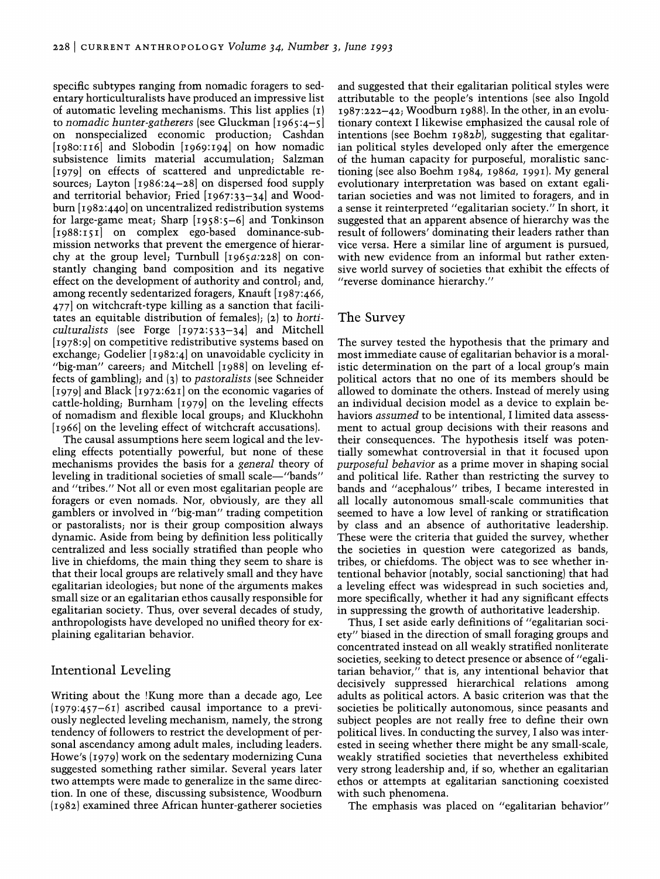specific subtypes ranging from nomadic foragers to sedentary horticulturalists have produced an impressive list of automatic leveling mechanisms. This list applies (I) to *nomadic hunter-gatherers* (see Gluckman [1965:4-5] on nonspecialized economic production; Cashdan [1980:II6] and Slobodin [1969:194] on how nomadic subsistence limits material accumulation; Salzman [1979] on effects of scattered and unpredictable resources; Layton [1986:24-28] on dispersed food supply and territorial behavior; Fried [1967:33-34] and Woodburn [1982:440] on uncentralized redistribution systems for large-game meat; Sharp [1958:5-6] and Tonkinson [1988:151] on complex ego-based dominance-submission networks that prevent the emergence of hierarchy at the group level; Turnbull *[1965a:228]* on constantly changing band composition and its negative effect on the development of authority and control; and, among recently sedentarized foragers, Knauft [1987:466, 477] on witchcraft-type killing as a sanction that facilitates an equitable distribution of females); (2) to *horticulturalists* (see Forge [1972:533-34] and Mitchell [1978:9] on competitive redistributive systems based on exchange; Godelier [1982:4] on unavoidable cyclicity in "big-man" careers; and Mitchell [1988] on leveling effects of gambling); and (3) to *pastoralists* (see Schneider [1979] and Black [1972:621] on the economic vagaries of cattle-holding; Burnham [1979] on the leveling effects of nomadism and flexible local groups; and Kluckhohn [1966] on the leveling effect of witchcraft accusations].

The causal assumptions here seem logical and the leveling effects potentially powerful, but none of these mechanisms provides the basis for a *general* theory of leveling in traditional societies of small scale-"bands" and "tribes." Not all or even most egalitarian people are foragers or even nomads. Nor, obviously, are they all gamblers or involved in "big-man" trading competition or pastoralists; nor is their group composition always dynamic. Aside from being by definition less politically centralized and less socially stratified than people who live in chiefdoms, the main thing they seem to share is that their local groups are relatively small and they have egalitarian ideologies; but none of the arguments makes small size or an egalitarian ethos causally responsible for egalitarian society. Thus, over several decades of study, anthropologists have developed no unified theory for explaining egalitarian behavior.

# Intentional Leveling

Writing about the !Kung more than a decade ago, Lee (1979:457-61) ascribed causal importance to a previously neglected leveling mechanism, namely, the strong tendency of followers to restrict the development of personal ascendancy among adult males, including leaders. Howe's (1979) work on the sedentary modernizing Cuna suggested something rather similar. Several years later two attempts were made to generalize in the same direction. In one of these, discussing subsistence, Woodburn (1982) examined three African hunter-gatherer societies

and suggested that their egalitarian political styles were attributable to the people's intentions (see also Ingold 1987:222-42; Woodburn 1988). In the other, in an evolutionary context I likewise emphasized the causal role of intentions (see Boehm *1982b),* suggesting that egalitarian political styles developed only after the emergence of the human capacity for purposeful, moralistic sanctioning (see also Boehm 1984, *1986a,* 1991). My general evolutionary interpretation was based on extant egalitarian societies and was not limited to foragers, and in a sense it reinterpreted "egalitarian society." In short, it suggested that an apparent absence of hierarchy was the result of followers' dominating their leaders rather than vice versa. Here a similar line of argument is pursued, with new evidence from an informal but rather extensive world survey of societies that exhibit the effects of "reverse dominance hierarchy."

### The Survey

The survey tested the hypothesis that the primary and most immediate cause of egalitarian behavior is a moralistic determination on the part of a local group's main political actors that no one of its members should be allowed to dominate the others. Instead of merely using an individual decision model as a device to explain behaviors *assumed* to be intentional, I limited data assessment to actual group decisions with their reasons and their consequences. The hypothesis itself was potentially somewhat controversial in that it focused upon *purposeful behavior* as a prime mover in shaping social and political life. Rather than restricting the survey to bands and "acephalous" tribes, I became interested in all locally autonomous small-scale communities that seemed to have a low level of ranking or stratification by class and an absence of authoritative leadership. These were the criteria that guided the survey, whether the societies in question were categorized as bands, tribes, or chiefdoms. The object was to see whether intentional behavior (notably, social sanctioning) that had a leveling effect was widespread in such societies and, more specifically, whether it had any significant effects in suppressing the growth of authoritative leadership.

Thus, I set aside early definitions of "egalitarian society" biased in the direction of small foraging groups and concentrated instead on all weakly stratified nonliterate societies, seeking to detect presence or absence of "egalitarian behavior," that is, any intentional behavior that decisively suppressed hierarchical relations among adults as political actors. A basic criterion was that the societies be politically autonomous, since peasants and subject peoples are not really free to define their own political lives. In conducting the survey, I also was interested in seeing whether there might be any small-scale, weakly stratified societies that nevertheless exhibited very strong leadership and, if so, whether an egalitarian ethos or attempts at egalitarian sanctioning coexisted with such phenomena.

The emphasis was placed on "egalitarian behavior"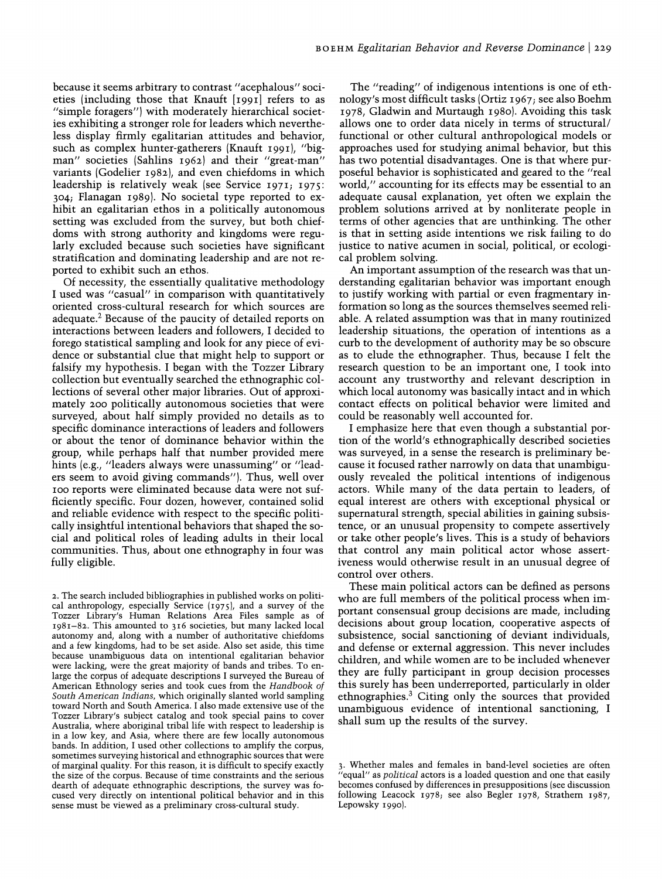because it seems arbitrary to contrast "acephalous" societies (including those that Knauft [1991] refers to as "simple foragers") with moderately hierarchical societies exhibiting a stronger role for leaders which nevertheless display firmly egalitarian attitudes and behavior, such as complex hunter-gatherers (Knauft 1991), "bigman" societies (Sahlins 1962) and their "great-man" variants (Godelier 1982), and even chiefdoms in which leadership is relatively weak (see Service *197Ii 1975: 304i* Flanagan 1989). No societal type reported to exhibit an egalitarian ethos in a politically autonomous setting was excluded from the survey, but both chiefdoms with strong authority and kingdoms were regularly excluded because such societies have significant stratification and dominating leadership and are not reported to exhibit such an ethos.

Of necessity, the essentially qualitative methodology I used was "casual" in comparison with quantitatively oriented cross-cultural research for which sources are adequate.2 Because of the paucity of detailed reports on interactions between leaders and followers, I decided to forego statistical sampling and look for any piece of evidence or substantial clue that might help to support or falsify my hypothesis. I began with the Tozzer Library collection but eventually searched the ethnographic collections of several other major libraries. Out of approximately 200 politically autonomous societies that were surveyed, about half simply provided no details as to specific dominance interactions of leaders and followers or about the tenor of dominance behavior within the group, while perhaps half that number provided mere hints (e.g., "leaders always were unassuming" or "leaders seem to avoid giving commands"). Thus, well over IOO reports were eliminated because data were not sufficiently specific. Four dozen, however, contained solid and reliable evidence with respect to the specific politically insightful intentional behaviors that shaped the social and political roles of leading adults in their local communities. Thus, about one ethnography in four was fully eligible.

2. The search included bibliographies in published works on political anthropology, especially Service (1975), and a survey of the Tozzer Library's Human Relations Area Files sample as of 1981-82. This amounted to 316 societies, but many lacked local autonomy and, along with a number of authoritative chiefdoms and a few kingdoms, had to be set aside. Also set aside, this time because unambiguous data on intentional egalitarian behavior were lacking, were the great majority of bands and tribes. To enlarge the corpus of adequate descriptions I surveyed the Bureau of American Ethnology series and took cues from the *Handbook of South American Indians,* which originally slanted world sampling toward North and South America. I also made extensive use of the Tozzer Library's subject catalog and took special pains to cover Australia, where aboriginal tribal life with respect to leadership is in a low key, and Asia, where there are few locally autonomous bands. In addition, I used other collections to amplify the corpus, sometimes surveying historical and ethnographic sources that were of marginal quality. For this reason, it is difficult to specify exactly the size of the corpus. Because of time constraints and the serious dearth of adequate ethnographic descriptions, the survey was focused very directly on intentional political behavior and in this sense must be viewed as a preliminary cross-cultural study.

The "reading" of indigenous intentions is one of ethnology's most difficult tasks (Ortiz 1967; see also Boehm 1978, Gladwin and Murtaugh 1980). Avoiding this task allows one to order data nicely in terms of structural/ functional or other cultural anthropological models or approaches used for studying animal behavior, but this has two potential disadvantages. One is that where purposeful behavior is sophisticated and geared to the "real world," accounting for its effects may be essential to an adequate causal explanation, yet often we explain the problem solutions arrived at by nonliterate people in terms of other agencies that are unthinking. The other is that in setting aside intentions we risk failing to do justice to native acumen in social, political, or ecological problem solving.

An important assumption of the research was that understanding egalitarian behavior was important enough to justify working with partial or even fragmentary information so long as the sources themselves seemed reliable. A related assumption was that in many routinized leadership situations, the operation of intentions as a curb to the development of authority may be so obscure as to elude the ethnographer. Thus, because I felt the research question to be an important one, I took into account any trustworthy and relevant description in which local autonomy was basically intact and in which contact effects on political behavior were limited and could be reasonably well accounted for.

I emphasize here that even though a substantial portion of the world's ethnographically described societies was surveyed, in a sense the research is preliminary because it focused rather narrowly on data that unambiguously revealed the political intentions of indigenous actors. While many of the data pertain to leaders, of equal interest are others with exceptional physical or supernatural strength, special abilities in gaining subsistence, or an unusual propensity to compete assertively or take other people's lives. This is a study of behaviors that control any main political actor whose assertiveness would otherwise result in an unusual degree of control over others.

These main political actors can be defined as persons who are full members of the political process when important consensual group decisions are made, including decisions about group location, cooperative aspects of subsistence, social sanctioning of deviant individuals, and defense or external aggression. This never includes children, and while women are to be included whenever they are fully participant in group decision processes this surely has been underreported, particularly in older ethnographies.3 Citing only the sources that provided unambiguous evidence of intentional sanctioning, I shall sum up the results of the survey.

<sup>3.</sup> Whether males and females in band-level societies are often "equal" as *political* actors is a loaded question and one that easily becomes confused by differences in presuppositions (see discussion following Leacock 1978; see also Begler 1978, Strathem 1987, Lepowsky 1990).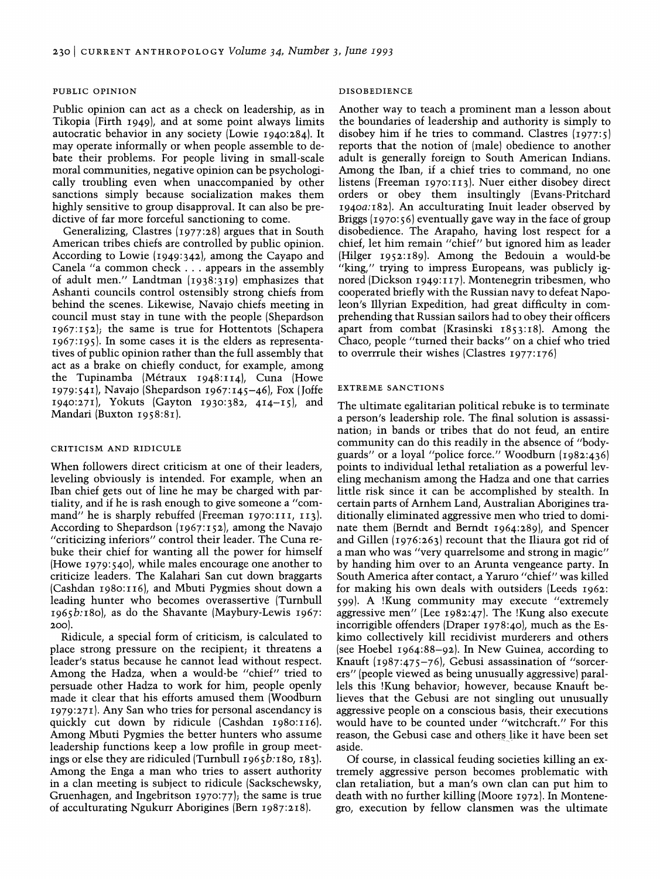#### PUBLIC OPINION

Public opinion can act as a check on leadership, as in Tikopia (Firth 1949), and at some point always limits autocratic behavior in any society (Lowie 1940:284). It may operate informally or when people assemble to debate their problems. For people living in small-scale moral communities, negative opinion can be psychologically troubling even when unaccompanied by other sanctions simply because socialization makes them highly sensitive to group disapproval. It can also be predictive of far more forceful sanctioning to come.

Generalizing, Clastres (1977:28) argues that in South American tribes chiefs are controlled by public opinion. According to Lowie (1949:342), among the Cayapo and Canela "a common check ... appears in the assembly of adult men." Landtman (1938:319) emphasizes that Ashanti councils control ostensibly strong chiefs from behind the scenes. Likewise, Navajo chiefs meeting in council must stay in tune with the people (Shepardson 1967:152); the same is true for Hottentots (Schapera 1967:195). In some cases it is the elders as representatives of public opinion rather than the full assembly that act as a brake on chiefly conduct, for example, among the Tupinamba (Metraux 1948:II4), Cuna (Howe 1979:541), Navajo (Shepardson 1967:145-46), Fox (Joffe 1940:271), Yokuts (Gayton 1930:382, 414-15), and Mandari (Buxton 1958:81).

#### CRITICISM AND RIDICULE

When followers direct criticism at one of their leaders, leveling obviously is intended. For example, when an Iban chief gets out of line he may be charged with partiality, and if he is rash enough to give someone a "command" he is sharply rebuffed (Freeman 1970:111, 113). According to Shepardson (1967:152), among the Navajo "criticizing inferiors" control their leader. The Cuna rebuke their chief for wanting all the power for himself (Howe 1979:540), while males encourage one another to criticize leaders. The Kalahari San cut down braggarts (Cashdan 1980:II6), and Mbuti Pygmies shout down a leading hunter who becomes overassertive (Turnbull 1965b:180), as do the Shavante (Maybury-Lewis 1967: 200).

Ridicule, a special form of criticism, is calculated to place strong pressure on the recipient; it threatens a leader's status because he cannot lead without respect. Among the Hadza, when a would-be "chief" tried to persuade other Hadza to work for him, people openly made it clear that his efforts amused them (Woodburn 1979:271). Any San who tries for personal ascendancy is quickly cut down by ridicule (Cashdan 1980:116). Among Mbuti Pygmies the better hunters who assume leadership functions keep a low profile in group meetings or else they are ridiculed (Turnbull  $1965b:180, 183$ ). Among the Enga a man who tries to assert authority in a clan meeting is subject to ridicule (Sackschewsky, Gruenhagen, and Ingebritson 1970:77); the same is true of acculturating Ngukurr Aborigines (Bern 1987:218).

#### DISOBEDIENCE

Another way to teach a prominent man a lesson about the boundaries of leadership and authority is simply to disobey him if he tries to command. Clastres (1977:5) reports that the notion of (male) obedience to another adult is generally foreign to South American Indians. Among the Iban, if a chief tries to command, no one listens (Freeman 1970:II3). Nuer either disobey direct orders or obey them insultingly (Evans-Pritchard 1940a:182). An acculturating Inuit leader observed by Briggs (1970:56) eventually gave way in the face of group disobedience. The Arapaho, having lost respect for a chief, let him remain "chief" but ignored him as leader (Hilger 1952:189). Among the Bedouin a would-be "king," trying to impress Europeans, was publicly ignored (Dickson 1949:II7). Montenegrin tribesmen, who cooperated briefly with the Russian navy to defeat Napoleon's Illyrian Expedition, had great difficulty in comprehending that Russian sailors had to obey their officers apart from combat (Krasinski 1853:18). Among the Chaco, people "turned their backs" on a chief who tried to overrrule their wishes (Clastres 1977:176)

#### EXTREME SANCTIONS

The ultimate egalitarian political rebuke is to terminate a person's leadership role. The final solution is assassination; in bands or tribes that do not feud, an entire community can do this readily in the absence of "bodyguards" or a loyal "police force." Woodburn (1982:436) points to individual lethal retaliation as a powerful leveling mechanism among the Hadza and one that carries little risk since it can be accomplished by stealth. In certain parts of Arnhem Land, Australian Aborigines traditionally eliminated aggressive men who tried to dominate them (Berndt and Berndt 1964:289), and Spencer and Gillen (1976:263) recount that the Iliaura got rid of a man who was "very quarrelsome and strong in magic" by handing him over to an Arunta vengeance party. In South America after contact, a Yaruro "chief" was killed for making his own deals with outsiders (Leeds 1962: 599). A !Kung community may execute "extremely aggressive men" (Lee 1982:47). The !Kung also execute incorrigible offenders (Draper 1978:40), much as the Eskimo collectively kill recidivist murderers and others (see Hoebel 1964:88-92). In New Guinea, according to Knauft (1987:475-76), Gebusi assassination of "sorcerers" (people viewed as being unusually aggressive) parallels this !Kung behavior; however, because Knauft believes that the Gebusi are not singling out unusually aggressive people on a conscious basis, their executions would have to be counted under "witchcraft." For this reason, the Gebusi case and others like it have been set aside.

Of course, in classical feuding societies killing an extremely aggressive person becomes problematic with clan retaliation, but a man's own clan can put him to death with no further killing (Moore 1972). In Montenegro, execution by fellow clansmen was the ultimate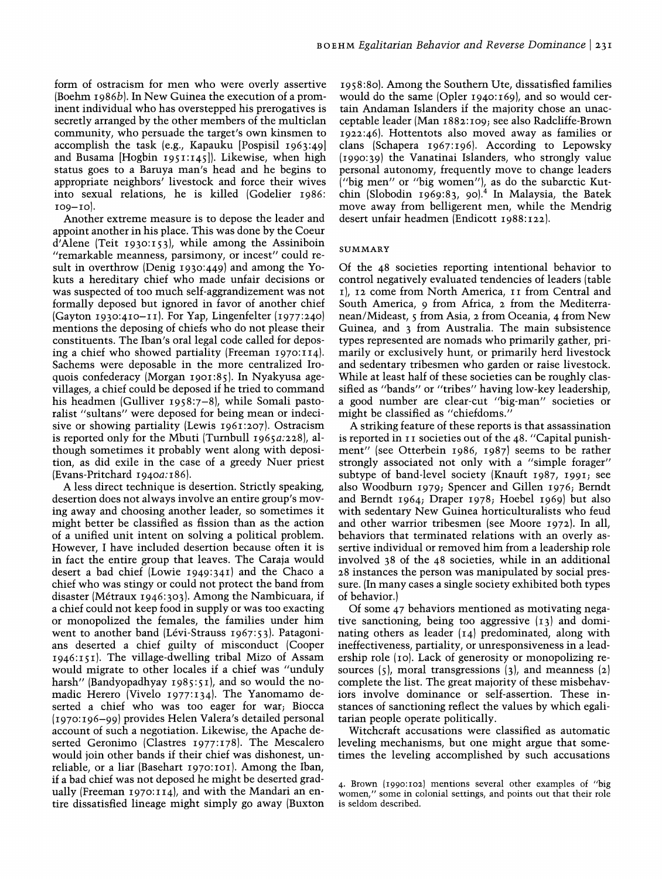form of ostracism for men who were overly assertive (Boehm *1986b).* **In** New Guinea the execution of a prominent individual who has overstepped his prerogatives is secretly arranged by the other members of the multiclan community, who persuade the target's own kinsmen to accomplish the task (e.g., Kapauku [Pospisil 1963:49] and Busama [Hogbin 1951:145]). Likewise, when high status goes to a Baruya man's head and he begins to appropriate neighbors' livestock and force their wives into sexual relations, he is killed (Godelier 1986:  $IO9-I0$ ).

Another extreme measure is to depose the leader and appoint another in his place. This was done by the Coeur d'Alene (Teit 1930:153), while among the Assiniboin "remarkable meanness, parsimony, or incest" could result in overthrow (Denig 1930:449) and among the Yokuts a hereditary chief who made unfair decisions or was suspected of too much self-aggrandizement was not formally deposed but ignored in favor of another chief (Gayton 1930:410-II). For Yap, Lingenfelter *(197T240)*  mentions the deposing of chiefs who do not please their constituents. The Iban's oral legal code called for deposing a chief who showed partiality (Freeman 1970:114). Sachems were deposable in the more centralized Iroquois confederacy (Morgan 1901:85). **In** Nyakyusa agevillages, a chief could be deposed if he tried to command his headmen (Gulliver 1958:7-8), while Somali pastoralist "sultans" were deposed for being mean or indecisive or showing partiality (Lewis 1961:207). Ostracism is reported only for the Mbuti (Turnbull *1965a:228),* although sometimes it probably went along with deposition, as did exile in the case of a greedy Nuer priest (Evans-Pritchard *1940a:186).* 

A less direct technique is desertion. Strictly speaking, desertion does not always involve an entire group's moving away and choosing another leader, so sometimes it might better be classified as fission than as the action of a unified unit intent on solving a political problem. However, I have included desertion because often it is in fact the entire group that leaves. The Caraja would desert a bad chief (Lowie 1949:341) and the Chaco a chief who was stingy or could not protect the band from disaster (Metraux 1946:303). Among the Nambicuara, if a chief could not keep food in supply or was too exacting or monopolized the females, the families under him went to another band (Lévi-Strauss 1967:53). Patagonians deserted a chief guilty of misconduct (Cooper 1946: I 5 I). The village-dwelling tribal Mizo of Assam would migrate to other locales if a chief was "unduly harsh" (Bandyopadhyay 1985:51), and so would the nomadic Herero (Vivelo 1977:134). The Yanomamo deserted a chief who was too eager for war; Biocca (1970:196-99) provides Helen Valera's detailed personal account of such a negotiation. Likewise, the Apache deserted Geronimo (Clastres 1977:178). The Mescalero would join other bands if their chief was dishonest, unreliable, or a liar (Basehart 1970:I01). Among the Iban, if a bad chief was not deposed he might be deserted gradually (Freeman 1970:114), and with the Mandari an entire dissatisfied lineage might simply go away (Buxton

1958:80). Among the Southern Ute, dissatisfied families would do the same (Opler 1940:169), and so would certain Andaman Islanders if the majority chose an unacceptable leader (Man 1882:I09; see also Radcliffe-Brown 1922:46). Hottentots also moved away as families or clans (Schapera 1967:196). According to Lepowsky (1990:39) the Vanatinai Islanders, who strongly value personal autonomy, frequently move to change leaders ("big men" or "big women"), as do the subarctic Kutchin (Slobodin 1969:83, 90).4 **In** Malaysia, the Batek move away from belligerent men, while the Mendrig desert unfair headmen (Endicott 1988:122).

#### SUMMARY

Of the 48 societies reporting intentional behavior to control negatively evaluated tendencies of leaders (table I), 12 come from North America, II from Central and South America, 9 from Africa, 2 from the Mediterranean/Mideast, 5 from Asia, 2 from Oceania, 4 from New Guinea, and 3 from Australia. The main subsistence types represented are nomads who primarily gather, primarily or exclusively hunt, or primarily herd livestock and sedentary tribesmen who garden or raise livestock. While at least half of these societies can be roughly classified as "bands" or "tribes" having low-key leadership, a good number are clear-cut "big-man" societies or might be classified as "chiefdoms."

A striking feature of these reports is that assassination is reported in II societies out of the 48. "Capital punishment" (see Otterbein 1986, 1987) seems to be rather strongly associated not only with a "simple forager" subtype of band-level society (Knauft 1987, 1991; see also Woodburn 1979; Spencer and Gillen 1976; Berndt and Berndt 1964; Draper 1978; Hoebel 1969) but also with sedentary New Guinea horticulturalists who feud and other warrior tribesmen (see Moore 1972). **In** all, behaviors that terminated relations with an overly assertive individual or removed him from a leadership role involved 38 of the 48 societies, while in an additional 28 instances the person was manipulated by social pressure. (In many cases a single society exhibited both types of behavior.)

Of some 47 behaviors mentioned as motivating negative sanctioning, being too aggressive (13) and dominating others as leader  $\begin{pmatrix} 1 & 4 \end{pmatrix}$  predominated, along with ineffectiveness, partiality, or unresponsiveness in a leadership role (IO). Lack of generosity or monopolizing resources  $(5)$ , moral transgressions  $(3)$ , and meanness  $(2)$ complete the list. The great majority of these misbehaviors involve dominance or self-assertion. These instances of sanctioning reflect the values by which egalitarian people operate politically.

Witchcraft accusations were classified as automatic leveling mechanisms, but one might argue that sometimes the leveling accomplished by such accusations

<sup>4.</sup> Brown (1990:102) mentions several other examples of "big women," some in colonial settings, and points out that their role is seldom described.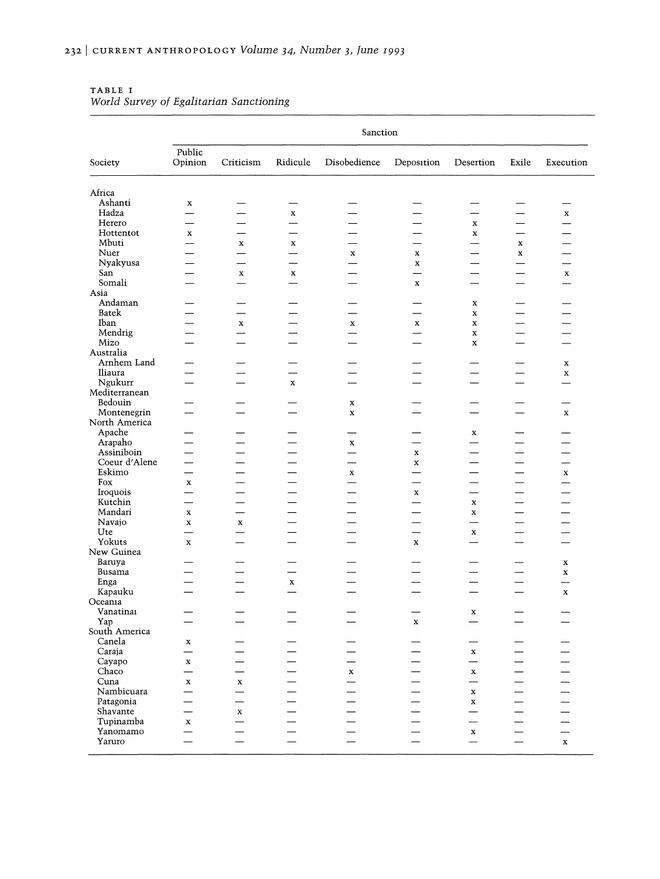|                              | Sanction                                |                          |                          |                          |                          |                                         |                          |                          |
|------------------------------|-----------------------------------------|--------------------------|--------------------------|--------------------------|--------------------------|-----------------------------------------|--------------------------|--------------------------|
| Society                      | Public<br>Opinion                       | Criticism                | Ridicule                 | Disobedience             | Deposition               | Desertion                               | Exile                    | Execution                |
| Africa                       |                                         |                          |                          |                          |                          |                                         |                          |                          |
| Ashanti                      | $\mathbf x$                             |                          | —                        |                          |                          |                                         | $\overline{\phantom{0}}$ |                          |
| Hadza                        |                                         |                          | $\mathbf X$              |                          |                          |                                         |                          | $\mathbf x$              |
| Herero                       |                                         |                          |                          |                          |                          | $\mathbf x$                             |                          | —                        |
| Hottentot                    | $\mathbf x$                             |                          |                          |                          |                          | $\mathbf x$                             | $\overline{\phantom{0}}$ |                          |
| Mbuti                        |                                         | $\mathbf x$              | $\mathbf x$              |                          |                          | $\overline{\phantom{0}}$                | $\mathbf x$              |                          |
| Nuer                         |                                         |                          | $\overline{\phantom{0}}$ | $\mathbf x$              | $\mathbf x$              |                                         | $\mathbf x$              |                          |
| Nyakyusa                     |                                         |                          | $\overline{\phantom{0}}$ |                          | $\mathbf x$              |                                         | $\overline{\phantom{0}}$ | $\overline{\phantom{0}}$ |
| San                          |                                         | $\mathbf x$              | $\mathbf x$              |                          |                          |                                         | $\overline{\phantom{0}}$ | $\mathbf x$              |
| Somali                       |                                         |                          | $\equiv$                 |                          | $\mathbf x$              |                                         |                          | $\overline{\phantom{0}}$ |
| Asia                         |                                         |                          |                          |                          |                          |                                         |                          |                          |
| Andaman                      |                                         |                          |                          |                          |                          | $\mathbf x$                             |                          |                          |
| Batek                        |                                         | $\overline{\phantom{0}}$ |                          | $\overline{\phantom{0}}$ | $\overline{\phantom{0}}$ | $\mathbf x$                             |                          |                          |
| Iban                         |                                         | $\mathbf x$              |                          | $\mathbf x$              | $\mathbf x$              | $\mathbf x$                             |                          |                          |
| Mendrig                      |                                         |                          |                          | $\overline{\phantom{0}}$ |                          | $\mathbf x$                             |                          |                          |
| Mizo                         |                                         |                          |                          | ▃                        | <u>in a</u>              | $\mathbf x$                             | $\overline{\phantom{0}}$ |                          |
| Australia                    |                                         |                          |                          |                          |                          |                                         |                          |                          |
| Arnhem Land                  |                                         |                          |                          |                          |                          |                                         | —                        | $\mathbf x$              |
| Iliaura                      |                                         |                          |                          |                          |                          |                                         | —                        | $\mathbf x$              |
| Ngukurr                      | $\overline{\phantom{0}}$                |                          | $\mathbf x$              | $\overline{\phantom{0}}$ | $\overline{\phantom{0}}$ | $\overline{\phantom{0}}$                | $\overline{\phantom{0}}$ |                          |
| Mediterranean                |                                         |                          |                          |                          |                          |                                         |                          |                          |
| Bedouin                      |                                         |                          |                          | $\mathbf x$              |                          |                                         |                          | $\overline{\phantom{0}}$ |
| Montenegrin<br>North America |                                         |                          |                          | $\mathbf x$              |                          | $\overline{\phantom{0}}$                |                          | $\mathbf x$              |
| Apache                       |                                         |                          |                          |                          |                          |                                         |                          |                          |
| Arapaho                      |                                         |                          |                          | $\mathbf x$              |                          | $\mathbf x$                             |                          |                          |
| Assiniboin                   |                                         |                          | $\overline{\phantom{0}}$ | $\overline{\phantom{0}}$ | x                        | $\overline{\phantom{0}}$                | —                        |                          |
| Coeur d'Alene                |                                         |                          |                          | —                        | $\mathbf x$              | $\overline{\phantom{0}}$                |                          | $\overline{\phantom{0}}$ |
| Eskimo                       | $\overline{\phantom{0}}$                |                          | —                        | $\mathbf x$              |                          | —                                       | —                        | $\mathbf x$              |
| Fox                          | $\mathbf x$                             |                          |                          | $\overline{\phantom{0}}$ | -                        | $\overline{\phantom{0}}$                | —                        | $\overline{\phantom{0}}$ |
| Iroquois                     | $\overline{\phantom{0}}$                |                          | —                        | $\overline{\phantom{0}}$ | $\mathbf x$              | $\overline{\phantom{0}}$                | —                        | $\overline{\phantom{0}}$ |
| Kutchin                      | —                                       |                          |                          | $\overline{\phantom{0}}$ |                          | $\mathbf x$                             | $\qquad \qquad$          | $\overline{\phantom{0}}$ |
| Mandari                      | $\mathbf x$                             | —                        |                          | —                        | $\overline{\phantom{0}}$ | $\mathbf x$                             | $\overline{\phantom{0}}$ | —                        |
| Navajo                       | $\mathbf x$                             | $\mathbf x$              |                          | $\overline{\phantom{0}}$ | —                        | $\overline{\phantom{0}}$                | $\overline{\phantom{0}}$ | $\overline{\phantom{0}}$ |
| Ute                          | ▃                                       |                          | $\overline{\phantom{0}}$ | $\overline{\phantom{0}}$ | $\overline{\phantom{0}}$ | $\mathbf x$                             | $\overline{\phantom{0}}$ | $\overline{\phantom{0}}$ |
| Yokuts                       | $\mathbf x$                             | $\overline{\phantom{0}}$ |                          | $\overline{\phantom{0}}$ | $\mathbf x$              |                                         | $\overline{\phantom{0}}$ |                          |
| New Guinea                   |                                         |                          |                          |                          |                          |                                         |                          |                          |
| Baruya                       |                                         |                          |                          | —<br>—                   | —                        | —                                       | —                        | $\mathbf x$              |
| Busama                       | $\overline{\phantom{a}}$                |                          |                          | $\overline{\phantom{0}}$ |                          | $\overline{\phantom{0}}$                | $\overline{\phantom{0}}$ | $\mathbf x$              |
| Enga                         |                                         | -                        | $\mathbf x$              | $\overline{\phantom{0}}$ | -                        | —                                       | $\overline{\phantom{0}}$ |                          |
| Kapauku                      | a a                                     |                          | $\overline{\phantom{0}}$ | ÷.                       |                          | —                                       |                          | $\mathbf x$              |
| Oceania                      |                                         |                          |                          |                          |                          |                                         |                          |                          |
| Vanatinai                    |                                         |                          |                          |                          |                          | $\mathbf x$                             |                          |                          |
| Yap                          |                                         |                          |                          |                          | $\mathbf x$              |                                         |                          |                          |
| South America<br>Canela      |                                         |                          |                          |                          |                          |                                         |                          |                          |
| Caraja                       | x<br>$\overline{\phantom{0}}$           |                          |                          |                          |                          |                                         |                          |                          |
| Cayapo                       |                                         |                          |                          |                          |                          | $\mathbf x$<br>$\overline{\phantom{0}}$ |                          |                          |
| Chaco                        | $\mathbf x$<br>$\overline{\phantom{0}}$ |                          |                          | $\mathbf x$              |                          | $\mathbf x$                             |                          |                          |
| Cuna                         | $\mathbf x$                             | $\mathbf x$              |                          |                          |                          | $\qquad \qquad$                         |                          |                          |
| Nambicuara                   |                                         |                          |                          |                          |                          | $\mathbf x$                             |                          |                          |
| Patagonia                    |                                         |                          |                          |                          |                          | $\mathbf x$                             |                          |                          |
| Shavante                     |                                         | $\mathbf x$              |                          |                          |                          | $\overline{\phantom{0}}$                |                          |                          |
| Tupinamba                    | $\mathbf x$                             |                          |                          |                          |                          | -                                       |                          |                          |
| Yanomamo                     |                                         |                          |                          |                          |                          | $\mathbf{x}$                            |                          |                          |
| Yaruro                       |                                         |                          |                          |                          |                          |                                         |                          | $\mathbf x$              |
|                              |                                         |                          |                          |                          |                          |                                         |                          |                          |

#### TABLE I *World Survey of Egalitarian Sanctioning*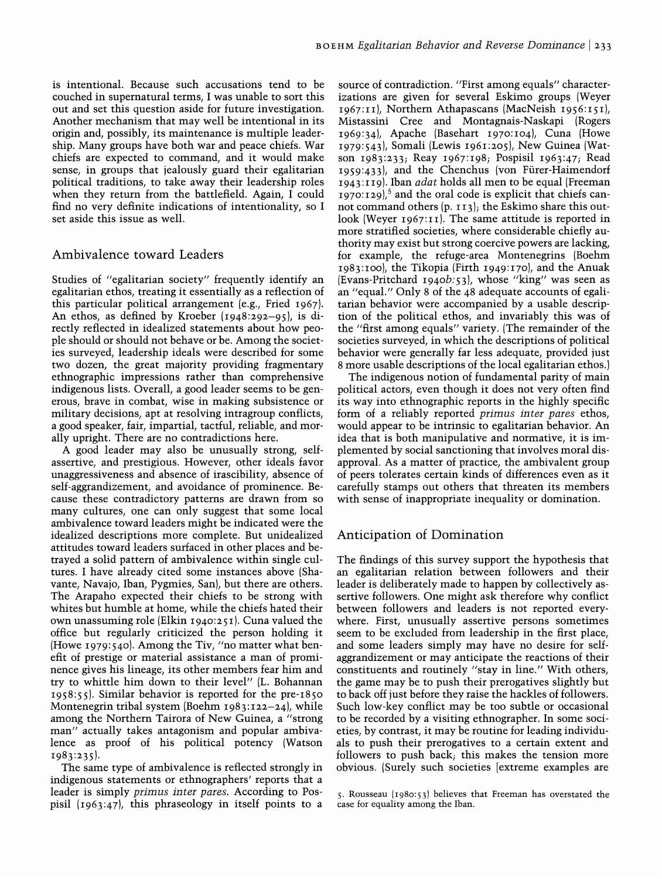is intentional. Because such accusations tend to be couched in supernatural terms, I was unable to sort this out and set this question aside for future investigation. Another mechanism that may well be intentional in its origin and, possibly, its maintenance is multiple leadership. Many groups have both war and peace chiefs. War chiefs are expected to command, and it would make sense, in groups that jealously guard their egalitarian political traditions, to take away their leadership roles when they return from the battlefield. Again, I could find no very definite indications of intentionality, so I set aside this issue as well.

# Ambivalence toward Leaders

Studies of "egalitarian society" frequently identify an egalitarian ethos, treating it essentially as a reflection of this particular political arrangement (e.g., Fried 1967). An ethos, as defined by Kroeber (1948:292-95), is directly reflected in idealized statements about how people should or should not behave or be. Among the societies surveyed, leadership ideals were described for some two dozen, the great majority providing fragmentary ethnographic impressions rather than comprehensive indigenous lists. Overall, a good leader seems to be generous, brave in combat, wise in making subsistence or military decisions, apt at resolving intragroup conflicts, a good speaker, fair, impartial, tactful, reliable, and morally upright. There are no contradictions here.

A good leader may also be unusually strong, selfassertive, and prestigious. However, other ideals favor unaggressiveness and absence of irascibility, absence of self-aggrandizement, and avoidance of prominence. Because these contradictory patterns are drawn from so many cultures, one can only suggest that some local ambivalence toward leaders might be indicated were the idealized descriptions more complete. But unidealized attitudes toward leaders surfaced in other places and betrayed a solid pattern of ambivalence within single cultures. I have already cited some instances above (Shavante, Navajo, Iban, Pygmies, San), but there are others. The Arapaho expected their chiefs to be strong with whites but humble at home, while the chiefs hated their own unassuming role (Elkin 1940:251). Cuna valued the office but regularly criticized the person holding it (Howe 1979: 540). Among the Tiv, "no matter what benefit of prestige or material assistance a man of prominence gives his lineage, its other members fear him and try to whittle him down to their level" (L. Bohannan 1958:55). Similar behavior is reported for the pre-1850 Montenegrin tribal system (Boehm  $1983:122-24$ ), while among the Northern Tairora of New Guinea, a "strong man" actually takes antagonism and popular ambivalence as proof of his political potency (Watson 1983:235).

The same type of ambivalence is reflected strongly in indigenous statements or ethnographers' reports that a leader is simply *primus inter pares.* According to Pospisil (1963:47), this phraseology in itself points to a

source of contradiction. "First among equals" characterizations are given for several Eskimo groups (Weyer 1967:II), Northern Athapascans (MacNeish 1956:151), Mistassini Cree and Montagnais-Naskapi (Rogers 1969:34), Apache (Basehart 1970:104), Cuna (Howe 1979:543), Somali (Lewis 1961:205), New Guinea (Watson 1983:233; Reay *196T198;* Pospisil 1963:47; Read 1959:433), and the Chenchus (von Fiirer-Haimendorf 1943:119). Iban *adat* holds all men to be equal (Freeman 1970:129),<sup>5</sup> and the oral code is explicit that chiefs cannot command others (p. II3); the Eskimo share this outlook (Weyer  $1967:11$ ). The same attitude is reported in more stratified societies, where considerable chiefly authority may exist but strong coercive powers are lacking, for example, the refuge-area Montenegrins (Boehm 1983:100), the Tikopia (Firth 1949:170), and the Anuak (Evans-Pritchard *1940b:53),* whose "king" was seen as an "equaL" Only 8 of the 48 adequate accounts of egalitarian behavior were accompanied by a usable description of the political ethos, and invariably this was of the "first among equals" variety. (The remainder of the societies surveyed, in which the descriptions of political behavior were generally far less adequate, provided just 8 more usable descriptions of the local egalitarian ethos.)

The indigenous notion of fundamental parity of main political actors, even though it does not very often find its way into ethnographic reports in the highly specific form of a reliably reported *primus inter pares* ethos, would appear to be intrinsic to egalitarian behavior. An idea that is both manipulative and normative, it is implemented by social sanctioning that involves moral disapproval. As a matter of practice, the ambivalent group of peers tolerates certain kinds of differences even as it carefully stamps out others that threaten its members with sense of inappropriate inequality or domination.

# Anticipation of Domination

The findings of this survey support the hypothesis that an egalitarian relation between followers and their leader is deliberately made to happen by collectively assertive followers. One might ask therefore why conflict between followers and leaders is not reported everywhere. First, unusually assertive persons sometimes seem to be excluded from leadership in the first place, and some leaders simply may have no desire for selfaggrandizement or may anticipate the reactions of their constituents and routinely "stay in line." With others, the game may be to push their prerogatives slightly but to back off just before they raise the hackles of followers. Such low-key conflict may be too subtle or occasional to be recorded by a visiting ethnographer. **In** some societies, by contrast, it may be routine for leading individuals to push their prerogatives to a certain extent and followers to push back; this makes the tension more obvious. (Surely such societies [extreme examples are

5. Rousseau (1980:53) believes that Freeman has overstated the case for equality among the Iban.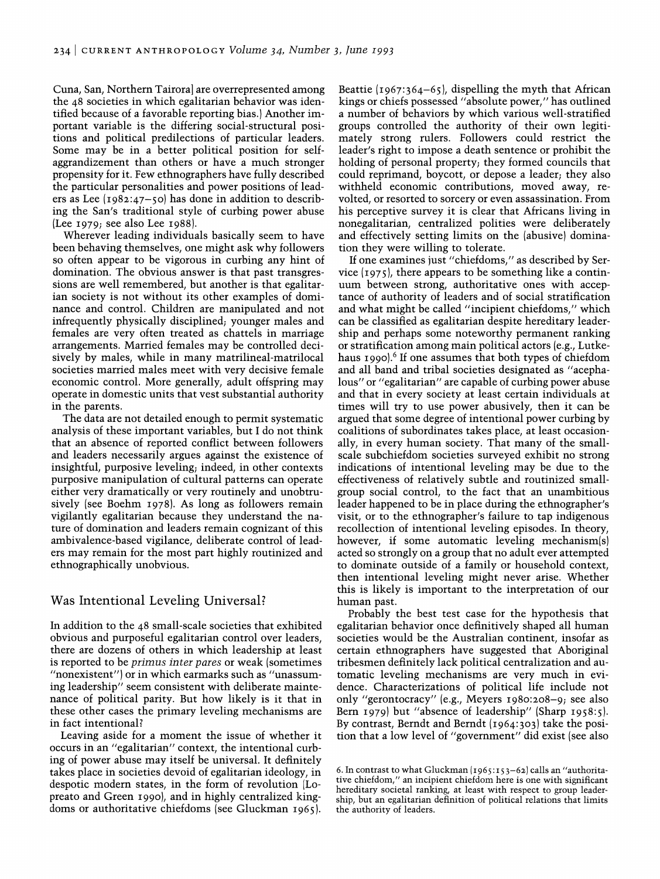Cuna, San, Northern Tairoraj are overrepresented among the 48 societies in which egalitarian behavior was identified because of a favorable reporting bias.) Another important variable is the differing social-structural positions and political predilections of particular leaders. Some may be in a better political position for selfaggrandizement than others or have a much stronger propensity for it. Few ethnographers have fully described the particular personalities and power positions of leaders as Lee (1982:47-50) has done in addition to describing the San's traditional style of curbing power abuse (Lee 1979; see also Lee 1988).

Wherever leading individuals basically seem to have been behaving themselves, one might ask why followers so often appear to be vigorous in curbing any hint of domination. The obvious answer is that past transgressions are well remembered, but another is that egalitarian society is not without its other examples of dominance and control. Children are manipulated and not infrequently physically disciplined; younger males and females are very often treated as chattels in marriage arrangements. Married females may be controlled decisively by males, while in many matrilineal-matrilocal societies married males meet with very decisive female economic control. More generally, adult offspring may operate in domestic units that vest substantial authority in the parents.

The data are not detailed enough to permit systematic analysis of these important variables, but I do not think that an absence of reported conflict between followers and leaders necessarily argues against the existence of insightful, purposive leveling; indeed, in other contexts purposive manipulation of cultural patterns can operate either very dramatically or very routinely and unobtrusively (see Boehm 1978). As long as followers remain vigilantly egalitarian because they understand the nature of domination and leaders remain cognizant of this ambivalence-based vigilance, deliberate control of leaders may remain for the most part highly routinized and ethnographically unobvious.

# Was Intentional Leveling Universal?

In addition to the 48 small-scale societies that exhibited obvious and purposeful egalitarian control over leaders, there are dozens of others in which leadership at least is reported to be *primus inter pares* or weak (sometimes "nonexistent") or in which earmarks such as "unassuming leadership" seem consistent with deliberate maintenance of political parity. But how likely is it that in these other cases the primary leveling mechanisms are in fact intentional?

Leaving aside for a moment the issue of whether it occurs in an "egalitarian" context, the intentional curbing of power abuse may itself be universal. It definitely takes place in societies devoid of egalitarian ideology, in despotic modern states, in the form of revolution (Lopreato and Green 1990), and in highly centralized kingdoms or authoritative chiefdoms (see Gluckman 1965).

Beattie  $(1967:364-65)$ , dispelling the myth that African kings or chiefs possessed "absolute power," has outlined a number of behaviors by which various well-stratified groups controlled the authority of their own legitimately strong rulers. Followers could restrict the leader's right to impose a death sentence or prohibit the holding of personal property; they formed councils that could reprimand, boycott, or depose a leader; they also withheld economic contributions, moved away, revolted, or resorted to sorcery or even assassination. From his perceptive survey it is clear that Africans living in nonegalitarian, centralized polities were deliberately and effectively setting limits on the (abusive) domination they were willing to tolerate.

If one examines just "chiefdoms," as described by Service  $(1975)$ , there appears to be something like a continuum between strong, authoritative ones with acceptance of authority of leaders and of social stratification and what might be called "incipient chiefdoms," which can be classified as egalitarian despite hereditary leadership and perhaps some noteworthy permanent ranking or stratification among main political actors (e.g., Lutkehaus 1990).<sup>6</sup> If one assumes that both types of chiefdom and all band and tribal societies designated as "acephalous" or "egalitarian" are capable of curbing power abuse and that in every society at least certain individuals at times will try to use power abusively, then it can be argued that some degree of intentional power curbing by coalitions of subordinates takes place, at least occasionally, in every human society. That many of the smallscale subchiefdom societies surveyed exhibit no strong indications of intentional leveling may be due to the effectiveness of relatively subtle and routinized smallgroup social control, to the fact that an unambitious leader happened to be in place during the ethnographer's visit, or to the ethnographer's failure to tap indigenous recollection of intentional leveling episodes. In theory, however, if some automatic leveling mechanism(s) acted so strongly on a group that no adult ever attempted to dominate outside of a family or household context, then intentional leveling might never arise. Whether this is likely is important to the interpretation of our human past.

Probably the best test case for the hypothesis that egalitarian behavior once definitively shaped all human societies would be the Australian continent, insofar as certain ethnographers have suggested that Aboriginal tribesmen definitely lack political centralization and automatic leveling mechanisms are very much in evidence. Characterizations of political life include not only "gerontocracy" (e.g., Meyers 1980:208-9; see also Bern 1979) but "absence of leadership" (Sharp 1958:5). By contrast, Berndt and Berndt (1964:303) take the position that a low level of "government" did exist (see also

<sup>6.</sup> In contrast to what Gluckman (I965 :I53-62) calls an "authoritative chiefdom," an incipient chiefdom here is one with significant hereditary societal ranking, at least with respect to group leadership, but an egalitarian definition of political relations that limits the authority of leaders.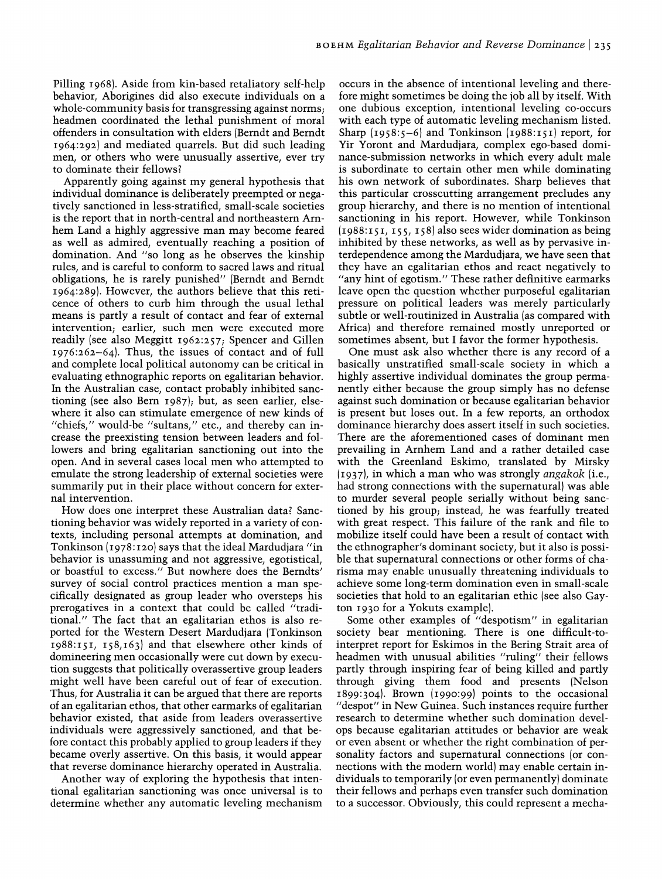Pilling 1968). Aside from kin-based retaliatory self-help behavior, Aborigines did also execute individuals on a whole-community basis for transgressing against norms; headmen coordinated the lethal punishment of moral offenders in consultation with elders (Berndt and Berndt 1964:292) and mediated quarrels. But did such leading men, or others who were unusually assertive, ever try to dominate their fellows?

Apparently going against my general hypothesis that individual dominance is deliberately preempted or negatively sanctioned in less-stratified, small-scale societies is the report that in north-central and northeastern Arnhem Land a highly aggressive man may become feared as well as admired, eventually reaching a position of domination. And "so long as he observes the kinship rules, and is careful to conform to sacred laws and ritual obligations, he is rarely punished" (Berndt and Berndt 1964:289). However, the authors believe that this reticence of others to curb him through the usual lethal means is partly a result of contact and fear of external intervention; earlier, such men were executed more readily (see also Meggitt 1962:257; Spencer and Gillen 1976:262-64). Thus, the issues of contact and of full and complete local political autonomy can be critical in evaluating ethnographic reports on egalitarian behavior. In the Australian case, contact probably inhibited sanctioning (see also Bern 1987); but, as seen earlier, elsewhere it also can stimulate emergence of new kinds of "chiefs," would-be "sultans," etc., and thereby can increase the preexisting tension between leaders and followers and bring egalitarian sanctioning out into the open. And in several cases local men who attempted to emulate the strong leadership of external societies were summarily put in their place without concern for external intervention.

How does one interpret these Australian data? Sanctioning behavior was widely reported in a variety of contexts, including personal attempts at domination, and Tonkinson (1978: 120) says that the ideal Mardudjara "in behavior is unassuming and not aggressive, egotistical, or boastful to excess." But nowhere does the Berndts' survey of social control practices mention a man specifically designated as group leader who oversteps his prerogatives in a context that could be called "traditional." The fact that an egalitarian ethos is also reported for the Western Desert Mardudjara (Tonkinson 1988:151, 158,163) and that elsewhere other kinds of domineering men occasionally were cut down by execution suggests that politically overassertive group leaders might well have been careful out of fear of execution. Thus, for Australia it can be argued that there are reports of an egalitarian ethos, that other earmarks of egalitarian behavior existed, that aside from leaders overassertive individuals were aggressively sanctioned, and that before contact this probably applied to group leaders if they became overly assertive. On this basis, it would appear that reverse dominance hierarchy operated in Australia.

Another way of exploring the hypothesis that intentional egalitarian sanctioning was once universal is to determine whether any automatic leveling mechanism occurs in the absence of intentional leveling and therefore might sometimes be doing the job all by itself. With one dubious exception, intentional leveling co-occurs with each type of automatic leveling mechanism listed. Sharp  $(1958:5-6)$  and Tonkinson  $(1988:151)$  report, for Yir Yoront and Mardudjara, complex ego-based dominance-submission networks in which every adult male is subordinate to certain other men while dominating his own network of subordinates. Sharp believes that this particular crosscutting arrangement precludes any group hierarchy, and there is no mention of intentional sanctioning in his report. However, while Tonkinson  $(1988:151, 155, 158)$  also sees wider domination as being inhibited by these networks, as well as by pervasive interdependence among the Mardudjara, we have seen that they have an egalitarian ethos and react negatively to "any hint of egotism." These rather definitive earmarks leave open the question whether purposeful egalitarian pressure on political leaders was merely particularly subtle or well-routinized in Australia (as compared with Africa) and therefore remained mostly unreported or sometimes absent, but I favor the former hypothesis.

One must ask also whether there is any record of a basically unstratified small-scale society in which a highly assertive individual dominates the group permanently either because the group simply has no defense against such domination or because egalitarian behavior is present but loses out. In a few reports, an orthodox dominance hierarchy does assert itself in such societies. There are the aforementioned cases of dominant men prevailing in Arnhem Land and a rather detailed case with the Greenland Eskimo, translated by Mirsky (1937), in which a man who was strongly *angakok* (i.e., had strong connections with the supernatural) was able to murder several people serially without being sanctioned by his group; instead, he was fearfully treated with great respect. This failure of the rank and file to mobilize itself could have been a result of contact with the ethnographer's dominant society, but it also is possible that supernatural connections or other forms of charisma may enable unusually threatening individuals to achieve some long-term domination even in small-scale societies that hold to an egalitarian ethic (see also Gayton 1930 for a Yokuts example).

Some other examples of "despotism" in egalitarian society bear mentioning. There is one difficult-tointerpret report for Eskimos in the Bering Strait area of headmen with unusual abilities "ruling" their fellows partly through inspiring fear of being killed and partly through giving them food and presents (Nelson 1899:304). Brown (1990:99) points to the occasional "despot" in New Guinea. Such instances require further research to determine whether such domination develops because egalitarian attitudes or behavior are weak or even absent or whether the right combination of personality factors and supernatural connections (or connections with the modem world) may enable certain individuals to temporarily (or even permanently) dominate their fellows and perhaps even transfer such domination to a successor. Obviously, this could represent a mecha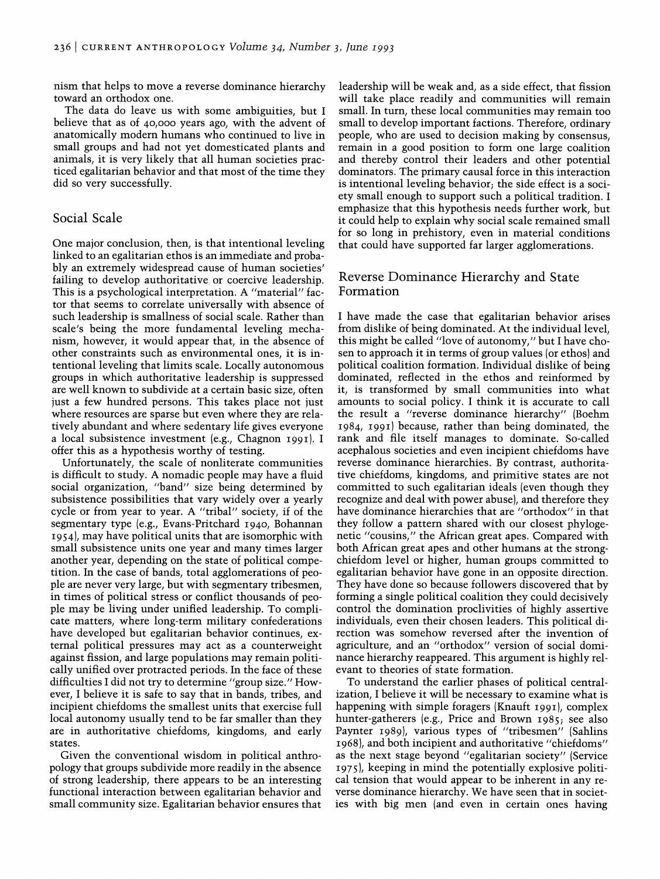nism that helps to move a reverse dominance hierarchy toward an orthodox one.

The data do leave us with some ambiguities, but I believe that as of 40,000 years ago, with the advent of anatomically modem humans who continued to live in small groups and had not yet domesticated plants and animals, it is very likely that all human societies practiced egalitarian behavior and that most of the time they did so very successfully.

### Social Scale

One major conclusion, then, is that intentional leveling linked to an egalitarian ethos is an immediate and probably an extremely widespread cause of human societies' failing to develop authoritative or coercive leadership. This is a psychological interpretation. A "material" factor that seems to correlate universally with absence of such leadership is smallness of social scale. Rather than scale's being the more fundamental leveling mechanism, however, it would appear that, in the absence of other constraints such as environmental ones, it is intentional leveling that limits scale. Locally autonomous groups in which authoritative leadership is suppressed are well known to subdivide at a certain basic size, often just a few hundred persons. This takes place not just where resources are sparse but even where they are relatively abundant and where sedentary life gives everyone a local subsistence investment (e.g., Chagnon 1991). I offer this as a hypothesis worthy of testing.

Unfortunately, the scale of nonliterate communities is difficult to study. A nomadic people may have a fluid social organization, "band" size being determined by subsistence possibilities that vary widely over a yearly cycle or from year to year. A "tribal" society, if of the segmentary type (e.g., Evans-Pritchard 1940, Bohannan 1954), may have political units that are isomorphic with small subsistence units one year and many times larger another year, depending on the state of political competition. In the case of bands, total agglomerations of people are never very large, but with segmentary tribesmen, in times of political stress or conflict thousands of people may be living under unified leadership. To complicate matters, where long-term military confederations have developed but egalitarian behavior continues, external political pressures may act as a counterweight against fission, and large populations may remain politically unified over protracted periods. In the face of these difficulties I did not try to determine "group size." However, I believe it is safe to say that in bands, tribes, and incipient chiefdoms the smallest units that exercise full local autonomy usually tend to be far smaller than they are in authoritative chiefdoms, kingdoms, and early states.

Given the conventional wisdom in political anthropology that groups subdivide more readily in the absence of strong leadership, there appears to be an interesting functional interaction between egalitarian behavior and small community size. Egalitarian behavior ensures that leadership will be weak and, as a side effect, that fission will take place readily and communities will remain small. In tum, these local communities may remain too small to develop important factions. Therefore, ordinary people, who are used to decision making by consensus, remain in a good position to form one large coalition and thereby control their leaders and other potential dominators. The primary causal force in this interaction is intentional leveling behavior; the side effect is a society small enough to support such a political tradition. I emphasize that this hypothesis needs further work, but it could help to explain why social scale remained small for so long in prehistory, even in material conditions that could have supported far larger agglomerations.

# Reverse Dominance Hierarchy and State Formation

I have made the case that egalitarian behavior arises from dislike of being dominated. At the individual level, this might be called "love of autonomy," but I have chosen to approach it in terms of group values (or ethos) and political coalition formation. Individual dislike of being dominated, reflected in the ethos and reinformed by it, is transformed by small communities into what amounts to social policy. I think it is accurate to call the result a "reverse dominance hierarchy" (Boehm 1984, 1991) because, rather than being dominated, the rank and file itself manages to dominate. So-called acephalous societies and even incipient chiefdoms have reverse dominance hierarchies. By contrast, authoritative chiefdoms, kingdoms, and primitive states are not committed to such egalitarian ideals (even though they recognize and deal with power abuse), and therefore they have dominance hierarchies that are "orthodox" in that they follow a pattern shared with our closest phylogenetic "cousins," the African great apes. Compared with both African great apes and other humans at the strongchiefdom level or higher, human groups committed to egalitarian behavior have gone in an opposite direction. They have done so because followers discovered that by forming a single political coalition they could decisively control the domination proclivities of highly assertive individuals, even their chosen leaders. This political direction was somehow reversed after the invention of agriculture, and an "orthodox" version of social dominance hierarchy reappeared. This argument is highly relevant to theories of state formation.

To understand the earlier phases of political centralization, I believe it will be necessary to examine what is happening with simple foragers (Knauft 1991), complex hunter-gatherers (e.g., Price and Brown 1985; see also Paynter 1989), various types of "tribesmen" (Sahlins 1968), and both incipient and authoritative "chiefdoms" as the next stage beyond "egalitarian society" (Service 1975), keeping in mind the potentially explosive political tension that would appear to be inherent in any reverse dominance hierarchy. We have seen that in societies with big men (and even in certain ones having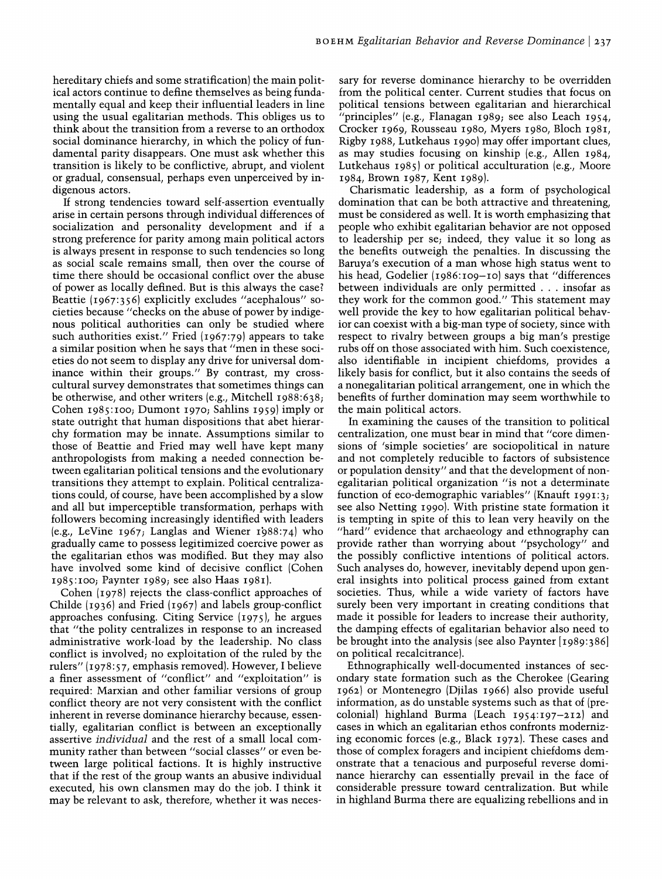hereditary chiefs and some stratification) the main political actors continue to define themselves as being fundamentally equal and keep their influential leaders in line using the usual egalitarian methods. This obliges us to think about the transition from a reverse to an orthodox social dominance hierarchy, in which the policy of fundamental parity disappears. One must ask whether this transition is likely to be conflictive, abrupt, and violent or gradual, consensual, perhaps even unperceived by indigenous actors.

If strong tendencies toward self-assertion eventually arise in certain persons through individual differences of socialization and personality development and if a strong preference for parity among main political actors is always present in response to such tendencies so long as social scale remains small, then over the course of time there should be occasional conflict over the abuse of power as locally defined. But is this always the case? Beattie (1967:356) explicitly excludes "acephalous" societies because "checks on the abuse of power by indigenous political authorities can only be studied where such authorities exist." Fried  $(1967:79)$  appears to take a similar position when he says that "men in these societies do not seem to display any drive for universal dominance within their groups." By contrast, my crosscultural survey demonstrates that sometimes things can be otherwise, and other writers (e.g., Mitchell 1988:638; Cohen 1985:100; Dumont 1970; Sahlins 1959) imply or state outright that human dispositions that abet hierarchy formation may be innate. Assumptions similar to those of Beattie and Fried may well have kept many anthropologists from making a needed connection between egalitarian political tensions and the evolutionary transitions they attempt to explain. Political centralizations could, of course, have been accomplished by a slow and all but imperceptible transformation, perhaps with followers becoming increasingly identified with leaders (e.g., LeVine 1967; Langlas and Wiener 1988:74) who gradually came to possess legitimized coercive power as the egalitarian ethos was modified. But they may also have involved some kind of decisive conflict (Cohen 1985:100; Paynter 1989; see also Haas 1981).

Cohen (1978) rejects the class-conflict approaches of Childe (1936) and Fried (1967) and labels group-conflict approaches confusing. Citing Service (1975), he argues that "the polity centralizes in response to an increased administrative work-load by the leadership. No class conflict is involved; no exploitation of the ruled by the rulers" (1978:57, emphasis removed). However, I believe a finer assessment of "conflict" and "exploitation" is required: Marxian and other familiar versions of group conflict theory are not very consistent with the conflict inherent in reverse dominance hierarchy because, essentially, egalitarian conflict is between an exceptionally assertive *individual* and the rest of a small local community rather than between "social classes" or even between large political factions. It is highly instructive that if the rest of the group wants an abusive individual executed, his own clansmen may do the job. I think it may be relevant to ask, therefore, whether it was necessary for reverse dominance hierarchy to be overridden from the political center. Current studies that focus on political tensions between egalitarian and hierarchical "principles" (e.g., Flanagan 1989; see also Leach 1954, Crocker 1969, Rousseau 1980, Myers 1980, Bloch 1981, Rigby 1988, Lutkehaus 1990) may offer important clues, as may studies focusing on kinship (e.g., Allen 1984, Lutkehaus 1985) or political acculturation (e.g., Moore 1984, Brown 1987, Kent 1989).

Charismatic leadership, as a form of psychological domination that can be both attractive and threatening, must be considered as well. It is worth emphasizing that people who exhibit egalitarian behavior are not opposed to leadership per se; indeed, they value it so long as the benefits outweigh the penalties. In discussing the Baruya's execution of a man whose high status went to his head, Godelier (1986:109-10) says that "differences between individuals are only permitted ... insofar as they work for the common good." This statement may well provide the key to how egalitarian political behavior can coexist with a big-man type of society, since with respect to rivalry between groups a big man's prestige rubs off on those associated with him. Such coexistence, also identifiable in incipient chiefdoms, provides a likely basis for conflict, but it also contains the seeds of a nonegalitarian political arrangement, one in which the benefits of further domination may seem worthwhile to the main political actors.

In examining the causes of the transition to political centralization, one must bear in mind that "core dimensions of 'simple societies' are sociopolitical in nature and not completely reducible to factors of subsistence or population density" and that the development of nonegalitarian political organization "is not a determinate function of eco-demographic variables" (Knauft 1991:3; see also Netting 1990). With pristine state formation it is tempting in spite of this to lean very heavily on the "hard" evidence that archaeology and ethnography can provide rather than worrying about "psychology" and the possibly conflictive intentions of political actors. Such analyses do, however, inevitably depend upon general insights into political process gained from extant societies. Thus, while a wide variety of factors have surely been very important in creating conditions that made it possible for leaders to increase their authority, the damping effects of egalitarian behavior also need to be brought into the analysis (see also Paynter [1989:386] on political recalcitrance).

Ethnographically well-documented instances of secondary state formation such as the Cherokee (Gearing 1962) or Montenegro (Djilas 1966) also provide useful information, as do unstable systems such as that of (precolonial) highland Burma (Leach 1954:197-212) and cases in which an egalitarian ethos confronts modernizing economic forces (e.g., Black 1972). These cases and those of complex foragers and incipient chiefdoms demonstrate that a tenacious and purposeful reverse dominance hierarchy can essentially prevail in the face of considerable pressure toward centralization. But while in highland Burma there are equalizing rebellions and in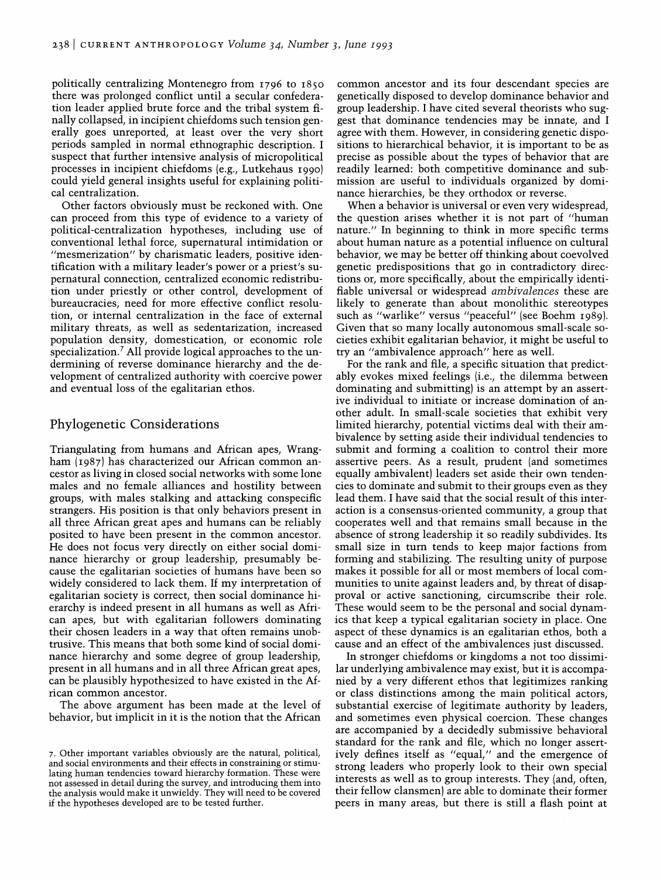politically centralizing Montenegro from 1796 to 1850 there was prolonged conflict until a secular confederation leader applied brute force and the tribal system finally collapsed, in incipient chiefdoms such tension generally goes unreported, at least over the very short periods sampled in normal ethnographic description. I suspect that further intensive analysis of micropolitical processes in incipient chiefdoms (e.g., Lutkehaus 1990) could yield general insights useful for explaining political centralization.

Other factors obviously must be reckoned with. One can proceed from this type of evidence to a variety of political-centralization hypotheses, including use of conventional lethal force, supernatural intimidation or "mesmerization" by charismatic leaders, positive identification with a military leader's power or a priest's supernatural connection, centralized economic redistribution under priestly or other control, development of bureaucracies, need for more effective conflict resolution, or internal centralization in the face of external military threats, as well as sedentarization, increased population density, domestication, or economic role specialization.? All provide logical approaches to the undermining of reverse dominance hierarchy and the development of centralized authority with coercive power and eventual loss of the egalitarian ethos.

# Phylogenetic Considerations

Triangulating from humans and African apes, Wrangham (1987) has characterized our African common ancestor as living in closed social networks with some lone males and no female alliances and hostility between groups, with males stalking and attacking conspecific strangers. His position is that only behaviors present in all three African great apes and humans can be reliably posited to have been present in the common ancestor. He does not focus very directly on either social dominance hierarchy or group leadership, presumably because the egalitarian societies of humans have been so widely considered to lack them. If my interpretation of egalitarian society is correct, then social dominance hierarchy is indeed present in all humans as well as African apes, but with egalitarian followers dominating their chosen leaders in a way that often remains unobtrusive. This means that both some kind of social dominance hierarchy and some degree of group leadership, present in all humans and in all three African great apes, can be plausibly hypothesized to have existed in the African common ancestor.

The above argument has been made at the level of behavior, but implicit in it is the notion that the African

common ancestor and its four descendant species are genetically disposed to develop dominance behavior and group leadership. I have cited several theorists who suggest that dominance tendencies may be innate, and I agree with them. However, in considering genetic dispositions to hierarchical behavior, it is important to be as precise as possible about the types of behavior that are readily learned: both competitive dominance and submission are useful to individuals organized by dominance hierarchies, be they orthodox or reverse.

When a behavior is universal or even very widespread, the question arises whether it is not part of "human nature." In beginning to think in more specific terms about human nature as a potential influence on cultural behavior, we may be better off thinking about coevolved genetic predispositions that go in contradictory directions or, more specifically, about the empirically identifiable universal or widespread *ambivalences* these are likely to generate than about monolithic stereotypes such as "warlike" versus "peaceful" (see Boehm 1989). Given that so many locally autonomous small-scale societies exhibit egalitarian behavior, it might be useful to try an "ambivalence approach" here as well.

For the rank and file, a specific situation that predictably evokes mixed feelings (i.e., the dilemma between dominating and submitting) is an attempt by an assertive individual to initiate or increase domination of another adult. In small-scale societies that exhibit very limited hierarchy, potential victims deal with their ambivalence by setting aside their individual tendencies to submit and forming a coalition to control their more assertive peers. As a result, prudent (and sometimes equally ambivalent) leaders set aside their own tendencies to dominate and submit to their groups even as they lead them. I have said that the social result of this interaction is a consensus-oriented community, a group that cooperates well and that remains small because in the absence of strong leadership it so readily subdivides. Its small size in tum tends to keep major factions from forming and stabilizing. The resulting unity of purpose makes it possible for all or most members of local communities to unite against leaders and, by threat of disapproval or active sanctioning, circumscribe their role. These would seem to be the personal and social dynamics that keep a typical egalitarian society in place. One aspect of these dynamics is an egalitarian ethos, both a cause and an effect of the ambivalences just discussed.

In stronger chiefdoms or kingdoms a not too dissimilar underlying ambivalence may exist, but it is accompanied by a very different ethos that legitimizes ranking or class distinctions among the main political actors, substantial exercise of legitimate authority by leaders, and sometimes even physical coercion. These changes are accompanied by a decidedly submissive behavioral standard for the rank and file, which no longer assertively defines itself as "equal," and the emergence of strong leaders who properly look to their own special interests as well as to group interests. They (and, often, their fellow clansmen) are able to dominate their former peers in many areas, but there is still a flash point at

<sup>7.</sup> Other important variables obviously are the natural, political, and social environments and their effects in constraining or stimulating human tendencies toward hierarchy formation. These were not assessed in detail during the survey, and introducing them into the analysis would make it unwieldy. They will need to be covered if the hypotheses developed are to be tested further.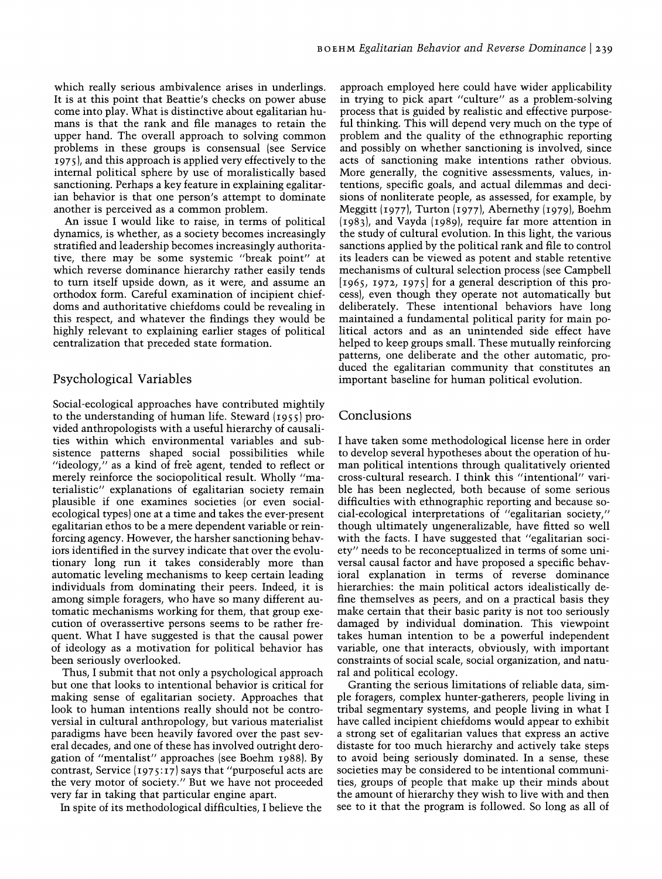which really serious ambivalence arises in underlings. It is at this point that Beattie's checks on power abuse come into play. What is distinctive about egalitarian humans is that the rank and file manages to retain the upper hand. The overall approach to solving common problems in these groups is consensual (see Service 1975), and this approach is applied very effectively to the internal political sphere by use of moralistically based sanctioning. Perhaps a key feature in explaining egalitarian behavior is that one person's attempt to dominate another is perceived as a common problem.

An issue I would like to raise, in terms of political dynamics, is whether, as a society becomes increasingly stratified and leadership becomes increasingly authoritative, there may be some systemic "break point" at which reverse dominance hierarchy rather easily tends to tum itself upside down, as it were, and assume an orthodox form. Careful examination of incipient chiefdoms and authoritative chiefdoms could be revealing in this respect, and whatever the findings they would be highly relevant to explaining earlier stages of political centralization that preceded state formation.

# Psychological Variables

Social-ecological approaches have contributed mightily to the understanding of human life. Steward (1955) provided anthropologists with a useful hierarchy of causalities within which environmental variables and subsistence patterns shaped social possibilities while "ideology," as a kind of free agent, tended to reflect or merely reinforce the sociopolitical result. Wholly "materialistic" explanations of egalitarian society remain plausible if one examines societies (or even socialecological types) one at a time and takes the ever-present egalitarian ethos to be a mere dependent variable or reinforcing agency. However, the harsher sanctioning behaviors identified in the survey indicate that over the evolutionary long run it takes considerably more than automatic leveling mechanisms to keep certain leading individuals from dominating their peers. Indeed, it is among simple foragers, who have so many different automatic mechanisms working for them, that group execution of overassertive persons seems to be rather frequent. What I have suggested is that the causal power of ideology as a motivation for political behavior has been seriously overlooked.

Thus, I submit that not only a psychological approach but one that looks to intentional behavior is critical for making sense of egalitarian society. Approaches that look to human intentions really should not be controversial in cultural anthropology, but various materialist paradigms have been heavily favored over the past several decades, and one of these has involved outright derogation of "mentalist" approaches (see Boehm 1988). By contrast, Service  $(1975:17)$  says that "purposeful acts are the very motor of society." But we have not proceeded very far in taking that particular engine apart.

In spite of its methodological difficulties, I believe the

approach employed here could have wider applicability in trying to pick apart "culture" as a problem-solving process that is guided by realistic and effective purposeful thinking. This will depend very much on the type of problem and the quality of the ethnographic reporting and possibly on whether sanctioning is involved, since acts of sanctioning make intentions rather obvious. More generally, the cognitive assessments, values, intentions, specific goals, and actual dilemmas and decisions of nonliterate people, as assessed, for example, by Meggitt (1977), Turton (1977), Abernethy (1979), Boehm (1983), and Vayda (1989), require far more attention in the study of cultural evolution. In this light, the various sanctions applied by the political rank and file to control its leaders can be viewed as potent and stable retentive mechanisms of cultural selection process (see Campbell [1965, 1972, 1975] for a general description of this process), even though they operate not automatically but deliberately. These intentional behaviors have long maintained a fundamental political parity for main political actors and as an unintended side effect have helped to keep groups small. These mutually reinforcing patterns, one deliberate and the other automatic, produced the egalitarian community that constitutes an important baseline for human political evolution.

# Conclusions

I have taken some methodological license here in order to develop several hypotheses about the operation of human political intentions through qualitatively oriented cross-cultural research. I think this "intentional" varible has been neglected, both because of some serious difficulties with ethnographic reporting and because social-ecological interpretations of "egalitarian society," though ultimately ungeneralizable, have fitted so well with the facts. I have suggested that "egalitarian society" needs to be reconceptualized in terms of some universal causal factor and have proposed a specific behavioral explanation in terms of reverse dominance hierarchies: the main political actors idealistically define themselves as peers, and on a practical basis they make certain that their basic parity is not too seriously damaged by individual domination. This viewpoint takes human intention to be a powerful independent variable, one that interacts, obviously, with important constraints of social scale, social organization, and natural and political ecology.

Granting the serious limitations of reliable data, simple foragers, complex hunter-gatherers, people living in tribal segmentary systems, and people living in what I have called incipient chiefdoms would appear to exhibit a strong set of egalitarian values that express an active distaste for too much hierarchy and actively take steps to avoid being seriously dominated. In a sense, these societies may be considered to be intentional communities, groups of people that make up their minds about the amount of hierarchy they wish to live with and then see to it that the program is followed. So long as all of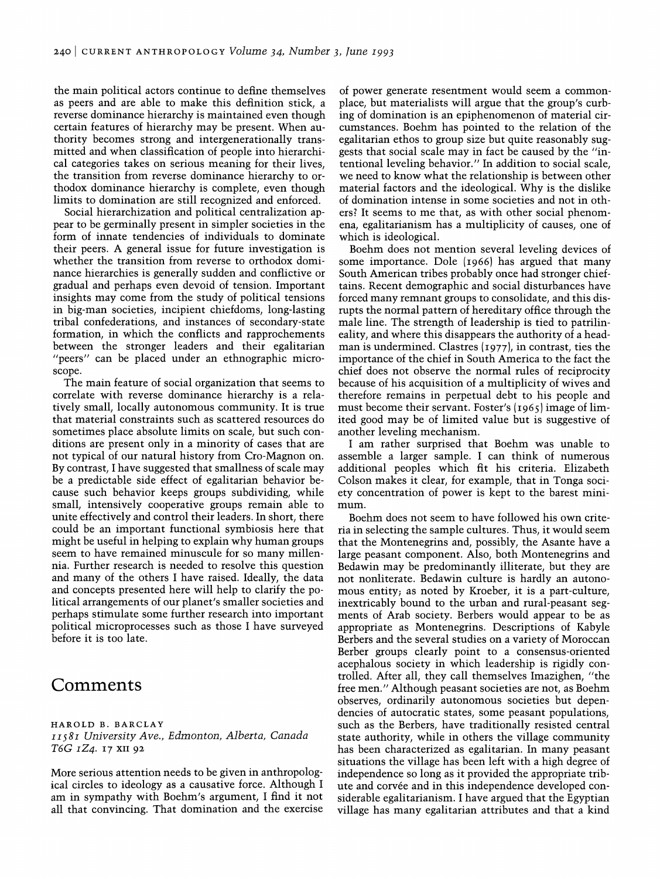the main political actors *continue* to define themselves as peers and are able to make this definition stick, a reverse dominance hierarchy is maintained even though certain features of hierarchy may be present. When authority becomes strong and intergenerationally transmitted and when classification of people into hierarchical categories takes on serious meaning for their lives, the transition from reverse dominance hierarchy to orthodox dominance hierarchy is complete, even though limits to domination are still recognized and enforced.

Social hierarchization and political centralization appear to be germinally present in simpler societies in the form of innate tendencies of individuals to dominate their peers. A general issue for future investigation is whether the transition from reverse to orthodox dominance hierarchies is generally sudden and conflictive or gradual and perhaps even devoid of tension. Important insights may come from the study of political tensions in big-man societies, incipient chiefdoms, long-lasting tribal confederations, and instances of secondary-state formation, in which the conflicts and rapprochements between the stronger leaders and their egalitarian "peers" can be placed under an ethnographic microscope.

The main feature of social organization that seems to correlate with reverse dominance hierarchy is a relatively small, locally autonomous community. It is true that material constraints such as scattered resources do sometimes place absolute limits on scale, but such conditions are present only in a minority of cases that are not typical of our natural history from Cro-Magnon on. By contrast, I have suggested that smallness of scale may be a predictable side effect of egalitarian behavior because such behavior keeps groups subdividing, while small, intensively cooperative groups remain able to unite effectively and control their leaders. In short, there could be an important functional symbiosis here that might be useful in helping to explain why human groups seem to have remained minuscule for so many millennia. Further research is needed to resolve this question and many of the others I have raised. Ideally, the data and concepts presented here will help to clarify the political arrangements of our planet's smaller societies and perhaps stimulate some further research into important political microprocesses such as those I have surveyed before it is too late.

# **Comments**

#### HAROLD B. BARCLAY *II581 University Ave., Edmonton, Alberta, Canada T6G 1Z4.* 17 XII 92

More serious attention needs to be given in anthropological circles to ideology as a causative force. Although I am in sympathy with Boehm's argument, I find it not all that convincing. That domination and the exercise of power generate resentment would seem a commonplace, but materialists will argue that the group's curbing of domination is an epiphenomenon of material circumstances. Boehm has pointed to the relation of the egalitarian ethos to group size but quite reasonably suggests that social scale may in fact be caused by the "intentional leveling behavior." In addition to social scale, we need to know what the relationship is between other material factors and the ideological. Why is the dislike of domination intense in some societies and not in others? It seems to me that, as with other social phenomena, egalitarianism has a multiplicity of causes, one of which is ideological.

Boehm does not mention several leveling devices of some importance. Dole (1966) has argued that many South American tribes probably once had stronger chieftains. Recent demographic and social disturbances have forced many remnant groups to consolidate, and this disrupts the normal pattern of hereditary office through the male line. The strength of leadership is tied to patrilineality, and where this disappears the authority of a headman is undermined. Clastres (1977), in contrast, ties the importance of the chief in South America to the fact the chief does not observe the normal rules of reciprocity because of his acquisition of a multiplicity of wives and therefore remains in perpetual debt to his people and must become their servant. Foster's (1965) image of limited good may be of limited value but is suggestive of another leveling mechanism.

I am rather surprised that Boehm was unable to assemble a larger sample. I can think of numerous additional peoples which fit his criteria. Elizabeth Colson makes it clear, for example, that in Tonga society concentration of power is kept to the barest minimum.

Boehm does not seem to have followed his own criteria in selecting the sample cultures. Thus, it would seem that the Montenegrins and, possibly, the Asante have a large peasant component. Also, both Montenegrins and Bedawin may be predominantly illiterate, but they are not nonliterate. Bedawin culture is hardly an autonomous entity; as noted by Kroeber, it is a part-culture, inextricably bound to the urban and rural-peasant segments of Arab society. Berbers would appear to be as appropriate as Montenegrins. Descriptions of Kabyle Berbers and the several studies on a variety of Moroccan Berber groups clearly point to a consensus-oriented acephalous society in which leadership is rigidly controlled. After all, they call themselves Imazighen, "the free men." Although peasant societies are not, as Boehm observes, ordinarily autonomous societies but dependencies of autocratic states, some peasant populations, such as the Berbers, have traditionally resisted central state authority, while in others the village community has been characterized as egalitarian. In many peasant situations the village has been left with a high degree of independence so long as it provided the appropriate tribute and corvée and in this independence developed considerable egalitarianism. I have argued that the Egyptian village has many egalitarian attributes and that a kind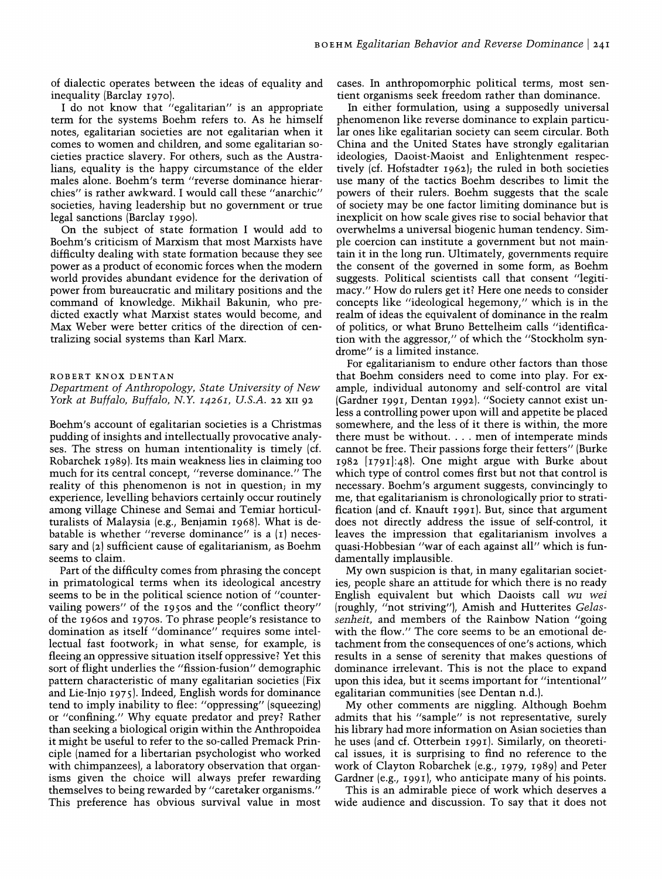of dialectic operates between the ideas of equality and inequality (Barclay 1970).

I do not know that "egalitarian" is an appropriate term for the systems Boehm refers to. As he himself notes, egalitarian societies are not egalitarian when it comes to women and children, and some egalitarian societies practice slavery. For others, such as the Australians, equality is the happy circumstance of the elder males alone. Boehm's term "reverse dominance hierarchies" is rather awkward. I would call these "anarchic" societies, having leadership but no government or true legal sanctions (Barclay 1990).

On the subject of state formation I would add to Boehm's criticism of Marxism that most Marxists have difficulty dealing with state formation because they see power as a product of economic forces when the modem world provides abundant evidence for the derivation of power from bureaucratic and military positions and the command of knowledge. Mikhail Bakunin, who predicted exactly what Marxist states would become, and Max Weber were better critics of the direction of centralizing social systems than Karl Marx.

#### ROBERT KNOX DENTAN

#### *Department of Anthropology, State University of New York at Buffalo, Buffalo,* N. Y. *I426I, U.S.A.* 22 XII 92

Boehm's account of egalitarian societies is a Christmas pudding of insights and intellectually provocative analyses. The stress on human intentionality is timely (cf. Robarchek 1989). Its main weakness lies in claiming too much for its central concept, "reverse dominance." The reality of this phenomenon is not in question; in my experience, levelling behaviors certainly occur routinely among village Chinese and Semai and Temiar horticulturalists of Malaysia (e.g., Benjamin 1968). What is debatable is whether "reverse dominance" is a  $(I)$  necessary and (2) sufficient cause of egalitarianism, as Boehm seems to claim.

Part of the difficulty comes from phrasing the concept in primatological terms when its ideological ancestry seems to be in the political science notion of "countervailing powers" of the 1950s and the "conflict theory" of the 1960s and 1970s. To phrase people's resistance to domination as itself "dominance" requires some intellectual fast footwork; in what sense, for example, is fleeing an oppressive situation itself oppressive? Yet this sort of flight underlies the "fission-fusion" demographic pattern characteristic of many egalitarian societies (Fix and Lie-Injo 1975). Indeed, English words for dominance tend to imply inability to flee: "oppressing" (squeezing) or "confining." Why equate predator and prey? Rather than seeking a biological origin within the Anthropoidea it might be useful to refer to the so-called Premack Principle (named for a libertarian psychologist who worked with chimpanzees), a laboratory observation that organisms given the choice will always prefer rewarding themselves to being rewarded by "caretaker organisms." This preference has obvious survival value in most cases. In anthropomorphic political terms, most sentient organisms seek freedom rather than dominance.

In either formulation, using a supposedly universal phenomenon like reverse dominance to explain particular ones like egalitarian society can seem circular. Both China and the United States have strongly egalitarian ideologies, Daoist-Maoist and Enlightenment respectively (cf. Hofstadter 1962); the ruled in both societies use many of the tactics Boehm describes to limit the powers of their rulers. Boehm suggests that the scale of society may be one factor limiting dominance but is inexplicit on how scale gives rise to social behavior that overwhelms a universal biogenic human tendency. Simple coercion can institute a government but not maintain it in the long run. Ultimately, governments require the consent of the governed in some form, as Boehm suggests. Political scientists call that consent "legitimacy." How do rulers get it? Here one needs to consider concepts like "ideological hegemony," which is in the realm of ideas the equivalent of dominance in the realm of politics, or what Bruno Bettelheim calls "identification with the aggressor," of which the "Stockholm syndrome" is a limited instance.

For egalitarianism to endure other factors than those that Boehm considers need to come into play. For example, individual autonomy and self-control are vital (Gardner 1991, Dentan 1992). "Society cannot exist unless a controlling power upon will and appetite be placed somewhere, and the less of it there is within, the more there must be without... men of intemperate minds cannot be free. Their passions forge their fetters" (Burke 1982 [I791]:48). One might argue with Burke about which type of control comes first but not that control is necessary. Boehm's argument suggests, convincingly to me, that egalitarianism is chronologically prior to stratification (and cf. Knauft 1991). But, since that argument does not directly address the issue of self-control, it leaves the impression that egalitarianism involves a quasi-Hobbesian "war of each against all" which is fundamentally implausible.

My own suspicion is that, in many egalitarian societies, people share an attitude for which there is no ready English equivalent but which Daoists call *wu wei*  (roughly, "not striving"), Amish and Hutterites *Gelassenheit,* and members of the Rainbow Nation "going with the flow." The core seems to be an emotional detachment from the consequences of one's actions, which results in a sense of serenity that makes questions of dominance irrelevant. This is not the place to expand upon this idea, but it seems important for "intentional" egalitarian communities (see Dentan n.d.).

My other comments are niggling. Although Boehm admits that his "sample" is not representative, surely his library had more information on Asian societies than he uses (and cf. Otterbein 1991). Similarly, on theoretical issues, it is surprising to find no reference to the work of Clayton Robarchek (e.g., 1979, 1989) and Peter Gardner (e.g., 1991), who anticipate many of his points.

This is an admirable piece of work which deserves a wide audience and discussion. To say that it does not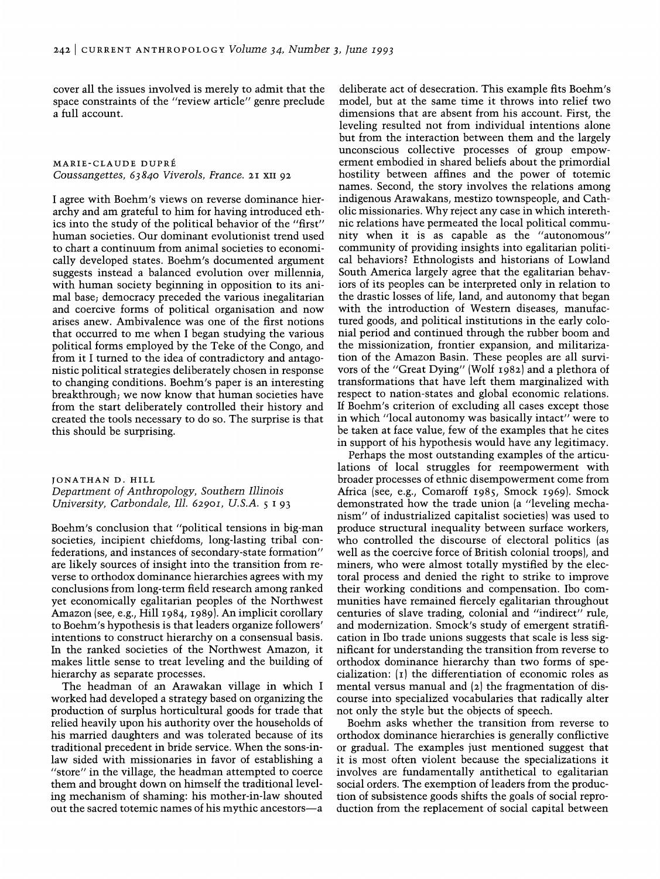cover all the issues involved is merely to admit that the space constraints of the "review article" genre preclude a full account.

MARIE-CLAUDE DUPRE *Coussangettes,* 63840 *Viverols, France.* 21 XII 92

I agree with Boehm's views on reverse dominance hierarchy and am grateful to him for having introduced ethics into the study of the political behavior of the "first" human societies. Our dominant evolutionist trend used to chart a continuum from animal societies to economically developed states. Boehm's documented argument suggests instead a balanced evolution over millennia, with human society beginning in opposition to its animal base; democracy preceded the various inegalitarian and coercive forms of political organisation and now arises anew. Ambivalence was one of the first notions that occurred to me when I began studying the various political forms employed by the Teke of the Congo, and from it I turned to the idea of contradictory and antagonistic political strategies deliberately chosen in response to changing conditions. Boehm's paper is an interesting breakthrough; we now know that human societies have from the start deliberately controlled their history and created the tools necessary to do so. The surprise is that this should be surprising.

JONATHAN D. HILL *Department of Anthropology, Southem Illinois University, Carbondale, Ill. 6290I, u.S.A.* 5 193

Boehm's conclusion that "political tensions in big-man societies, incipient chiefdoms, long-lasting tribal confederations, and instances of secondary-state formation" are likely sources of insight into the transition from reverse to orthodox dominance hierarchies agrees with my conclusions from long-term field research among ranked yet economically egalitarian peoples of the Northwest Amazon (see, e.g., Hill 1984, 1989). An implicit corollary to Boehm's hypothesis is that leaders organize followers' intentions to construct hierarchy on a consensual basis. In the ranked societies of the Northwest Amazon, it makes little sense to treat leveling and the building of hierarchy as separate processes.

The headman of an Arawakan village in which I worked had developed a strategy based on organizing the production of surplus horticultural goods for trade that relied heavily upon his authority over the households of his married daughters and was tolerated because of its traditional precedent in bride service. When the sons-inlaw sided with missionaries in favor of establishing a "store" in the village, the headman attempted to coerce them and brought down on himself the traditional leveling mechanism of shaming: his mother-in-law shouted out the sacred totemic names of his mythic ancestors-a

deliberate act of desecration. This example fits Boehm's model, but at the same time it throws into relief two dimensions that are absent from his account. First, the leveling resulted not from individual intentions alone but from the interaction between them and the largely unconscious collective processes of group empowerment embodied in shared beliefs about the primordial hostility between affines and the power of totemic names. Second, the story involves the relations among indigenous Arawakans, mestizo townspeople, and Catholic missionaries. Why reject any case in which interethnic relations have permeated the local political community when it is as capable as the "autonomous" community of providing insights into egalitarian political behaviors? Ethnologists and historians of Lowland South America largely agree that the egalitarian behaviors of its peoples can be interpreted only in relation to the drastic losses of life, land, and autonomy that began with the introduction of Western diseases, manufactured goods, and political institutions in the early colonial period and continued through the rubber boom and the missionization, frontier expansion, and militarization of the Amazon Basin. These peoples are all survivors of the "Great Dying" (Wolf 1982) and a plethora of transformations that have left them marginalized with respect to nation-states and global economic relations. If Boehm's criterion of excluding all cases except those in which "local autonomy was basically intact" were to be taken at face value, few of the examples that he cites in support of his hypothesis would have any legitimacy.

Perhaps the most outstanding examples of the articulations of local struggles for reempowerment with broader processes of ethnic disempowerment come from Africa (see, e.g., Comaroff 1985, Smock 1969). Smock demonstrated how the trade union (a "leveling mechanism" of industrialized capitalist societies) was used to produce structural inequality between surface workers, who controlled the discourse of electoral politics (as well as the coercive force of British colonial troops), and miners, who were almost totally mystified by the electoral process and denied the right to strike to improve their working conditions and compensation. Ibo communities have remained fiercely egalitarian throughout centuries of slave trading, colonial and "indirect" rule, and modernization. Smock's study of emergent stratification in Ibo trade unions suggests that scale is less significant for understanding the transition from reverse to orthodox dominance hierarchy than two forms of specialization: (I) the differentiation of economic roles as mental versus manual and (2) the fragmentation of discourse into specialized vocabularies that radically alter not only the style but the objects of speech.

Boehm asks whether the transition from reverse to orthodox dominance hierarchies is generally conflictive or gradual. The examples just mentioned suggest that it is most often violent because the specializations it involves are fundamentally antithetical to egalitarian social orders. The exemption of leaders from the production of subsistence goods shifts the goals of social reproduction from the replacement of social capital between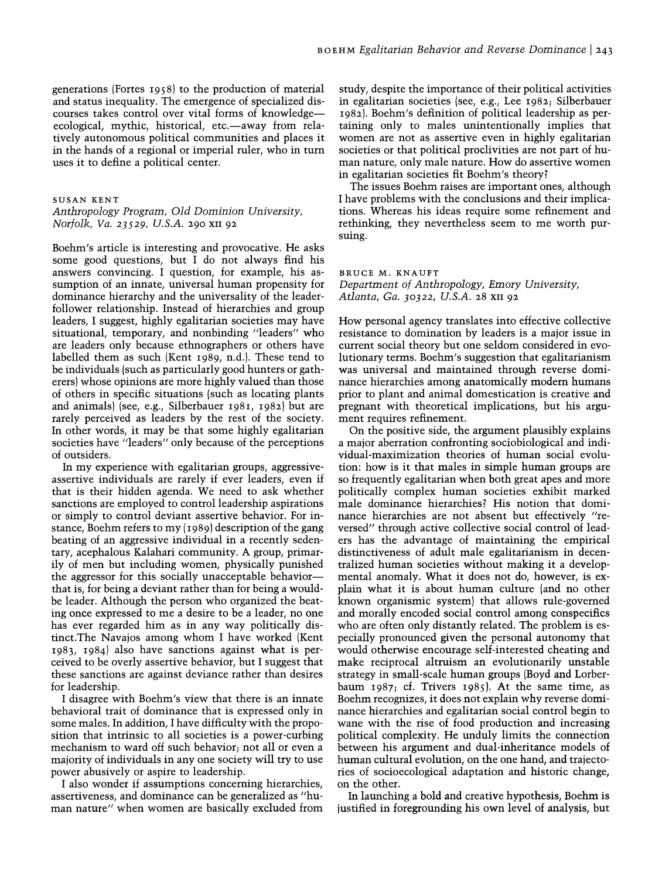generations (Fortes 1958) to the production of material and status inequality. The emergence of specialized discourses takes control over vital forms of knowledgeecological, mythic, historical, etc.—away from relatively autonomous political communities and places it in the hands of a regional or imperial ruler, who in tum uses it to define a political center.

#### SUSAN KENT

### *Anthropology Program, Old Dominion University, Norfolk, Va.* 23529, *U.S.A.* 290 XII 92

Boehm's article is interesting and provocative. He asks some good questions, but I do not always find his answers convincing. I question, for example, his assumption of an innate, universal human propensity for dominance hierarchy and the universality of the leaderfollower relationship. Instead of hierarchies and group leaders, I suggest, highly egalitarian societies may have situational, temporary, and nonbinding "leaders" who are leaders only because ethnographers or others have labelled them as such (Kent 1989, n.d.). These tend to be individuals (such as particularly good hunters or gatherers) whose opinions are more highly valued than those of others in specific situations (such as locating plants and animals) (see, e.g., Silberbauer 1981, 1982) but are rarely perceived as leaders by the rest of the society. In other words, it may be that some highly egalitarian societies have "leaders" only because of the perceptions of outsiders.

In my experience with egalitarian groups, aggressiveassertive individuals are rarely if ever leaders, even if that is their hidden agenda. We need to ask whether sanctions are employed to control leadership aspirations or simply to control deviant assertive behavior. For instance, Boehm refers to my (1989) description of the gang beating of an aggressive individual in a recently sedentary, acephalous Kalahari community. A group, primarily of men but including women, physically punished the aggressor for this socially unacceptable behaviorthat is, for being a deviant rather than for being a wouldbe leader. Although the person who organized the beating once expressed to me a desire to be a leader, no one has ever regarded him as in any way politically distinct.The Navajos among whom I have worked (Kent 1983, 1984) also have sanctions against what is perceived to be overly assertive behavior, but I suggest that these sanctions are against deviance rather than desires for leadership.

I disagree with Boehm's view that there is an innate behavioral trait of dominance that is expressed only in some males. In addition, I have difficulty with the proposition that intrinsic to all societies is a power-curbing mechanism to ward off such behavior; not all or even a majority of individuals in anyone society will try to use power abusively or aspire to leadership.

I also wonder if assumptions concerning hierarchies, assertiveness, and dominance can be generalized as "human nature" when women are basically excluded from study, despite the importance of their political activities in egalitarian societies (see, e.g., Lee 1982; Silberbauer 1982). Boehm's definition of political leadership as pertaining only to males unintentionally implies that women are not as assertive even in highly egalitarian societies or that political proclivities are not part of human nature, only male nature. How do assertive women in egalitarian societies fit Boehm's theory?

The issues Boehm raises are important ones, although I have problems with the conclusions and their implications. Whereas his ideas require some refinement and rethinking, they nevertheless seem to me worth pursuing.

BRUCE M. KNAUFT

*Department of Anthropology, Emory University, Atlanta, Ga.* 30322, *U.S.A.* 28 XII 92

How personal agency translates into effective collective resistance to domination by leaders is a major issue in current social theory but one seldom considered in evolutionary terms. Boehm's suggestion that egalitarianism was universal and maintained through reverse dominance hierarchies among anatomically modem humans prior to plant and animal domestication is creative and pregnant with theoretical implications, but his argument requires refinement.

On the positive side, the argument plausibly explains a major aberration confronting sociobiological and individual-maximization theories of human social evolution: how is it that males in simple human groups are so frequently egalitarian when both great apes and more politically complex human societies exhibit marked male dominance hierarchies? His notion that dominance hierarchies are not absent but effectively "reversed" through active collective social control of leaders has the advantage of maintaining the empirical distinctiveness of adult male egalitarianism in decentralized human societies without making it a developmental anomaly. What it does not do, however, is explain what it is about human culture (and no other known organismic system) that allows rule-governed and morally encoded social control among conspecifics who are often only distantly related. The problem is especially pronounced given the personal autonomy that would otherwise encourage self-interested cheating and make reciprocal altruism an evolutionarily unstable strategy in small-scale human groups (Boyd and Lorberbaum 1987; cf. Trivers 1985). At the same time, as Boehm recognizes, it does not explain why reverse dominance hierarchies and egalitarian social control begin to wane with the rise of food production and increasing political complexity. He unduly limits the connection between his argument and dual-inheritance models of human cultural evolution, on the one hand, and trajectories of socioecological adaptation and historic change, on the other.

In launching a bold and creative hypothesis, Boehm is justified in foregrounding his own level of analysis, but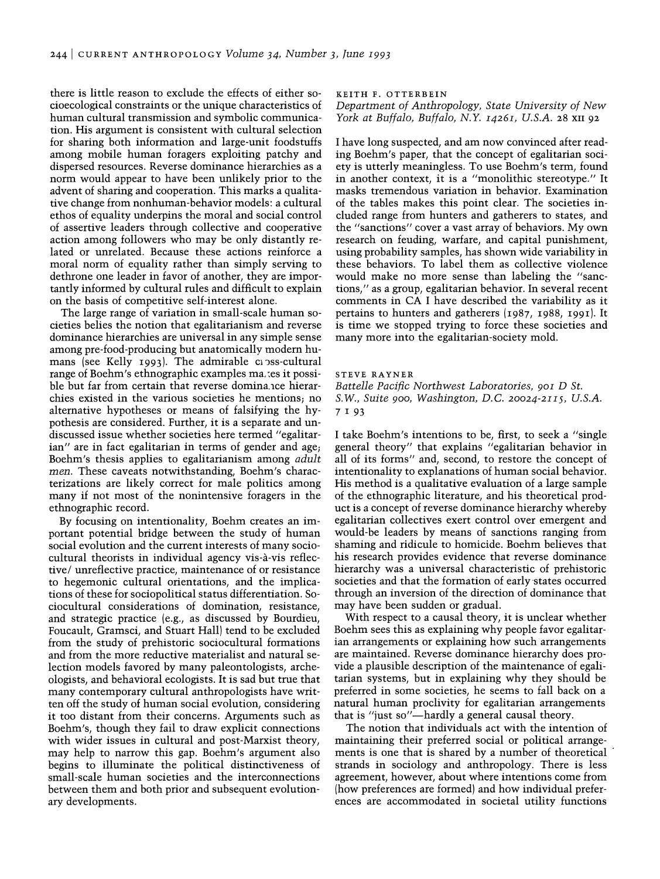there is little reason to exclude the effects of either socioecological constraints or the unique characteristics of human cultural transmission and symbolic communication. His argument is consistent with cultural selection for sharing both information and large-unit foodstuffs among mobile human foragers exploiting patchy and dispersed resources. Reverse dominance hierarchies as a norm would appear to have been unlikely prior to the advent of sharing and cooperation. This marks a qualitative change from nonhuman-behavior models: a cultural ethos of equality underpins the moral and social control of assertive leaders through collective and cooperative action among followers who may be only distantly related or unrelated. Because these actions reinforce a moral norm of equality rather than simply serving to dethrone one leader in favor of another, they are importantly informed by cultural rules and difficult to explain on the basis of competitive self-interest alone.

The large range of variation in small-scale human societies belies the notion that egalitarianism and reverse dominance hierarchies are universal in any simple sense among pre-food-producing but anatomically modem humans (see Kelly 1993). The admirable caps-cultural range of Boehm's ethnographic examples ma,:es it possible but far from certain that reverse dominance hierarchies existed in the various societies he mentions, no alternative hypotheses or means of falsifying the hypothesis are considered. Further, it is a separate and undiscussed issue whether societies here termed "egalitarian" are in fact egalitarian in terms of gender and age; Boehm's thesis applies to egalitarianism among *adult men.* These caveats notwithstanding, Boehm's characterizations are likely correct for male politics among many if not most of the nonintensive foragers in the ethnographic record.

By focusing on intentionality, Boehm creates an important potential bridge between the study of human social evolution and the current interests of many sociocultural theorists in individual agency vis-à-vis reflective/ unreflective practice, maintenance of or resistance to hegemonic cultural orientations, and the implications of these for sociopolitical status differentiation. Sociocultural considerations of domination, resistance, and strategic practice (e.g., as discussed by Bourdieu, Foucault, Gramsci, and Stuart Hall) tend to be excluded from the study of prehistoric sociocultural formations and from the more reductive materialist and natural selection models favored by many paleontologists, archeologists, and behavioral ecologists. It is sad but true that many contemporary cultural anthropologists have written off the study of human social evolution, considering it too distant from their concerns. Arguments such as Boehm's, though they fail to draw explicit connections with wider issues in cultural and post-Marxist theory, may help to narrow this gap. Boehm's argument also begins to illuminate the political distinctiveness of small-scale human societies and the interconnections between them and both prior and subsequent evolutionary developments.

KEITH F. OTTERBEIN

*Department of Anthropology, State University of New York at Buffalo, Buffalo,* N. Y. *I426I, U.S.A.* 28 XII 92

I have long suspected, and am now convinced after reading Boehm's paper, that the concept of egalitarian society is utterly meaningless. To use Boehm's term, found in another context, it is a "monolithic stereotype." It masks tremendous variation in behavior. Examination of the tables makes this point clear. The societies included range from hunters and gatherers to states, and the "sanctions" cover a vast array of behaviors. My own research on feuding, warfare, and capital punishment, using probability samples, has shown wide variability in these behaviors. To label them as collective violence would make no more sense than labeling the "sanctions," as a group, egalitarian behavior. In several recent comments in CA I have described the variability as it pertains to hunters and gatherers (1987, 1988, 1991). It is time we stopped trying to force these societies and many more into the egalitarian-society mold.

#### STEVE RAYNER

*Battelle Pacific Northwest Laboratories, 90I* D *St. S.W., Suite* 900, *Washington, D.C. 20024-2II5, U.S.A.*  7 I 93

I take Boehm's intentions to be, first, to seek a "single general theory" that explains "egalitarian behavior in all of its forms" and, second, to restore the concept of intentionality to explanations of human social behavior. His method is a qualitative evaluation of a large sample of the ethnographic literature, and his theoretical product is a concept of reverse dominance hierarchy whereby egalitarian collectives exert control over emergent and would-be leaders by means of sanctions ranging from shaming and ridicule to homicide. Boehm believes that his research provides evidence that reverse dominance hierarchy was a universal characteristic of prehistoric societies and that the formation of early states occurred through an inversion of the direction of dominance that may have been sudden or gradual.

With respect to a causal theory, it is unclear whether Boehm sees this as explaining why people favor egalitarian arrangements or explaining how such arrangements are maintained. Reverse dominance hierarchy does provide a plausible description of the maintenance of egalitarian systems, but in explaining why they should be preferred in some societies, he seems to fall back on a natural human proclivity for egalitarian arrangements that is "just so"-hardly a general causal theory.

The notion that individuals act with the intention of maintaining their preferred social or political arrangements is one that is shared by a number of theoretical strands in sociology and anthropology. There is less agreement, however, about where intentions come from (how preferences are formed) and how individual preferences are accommodated in societal utility functions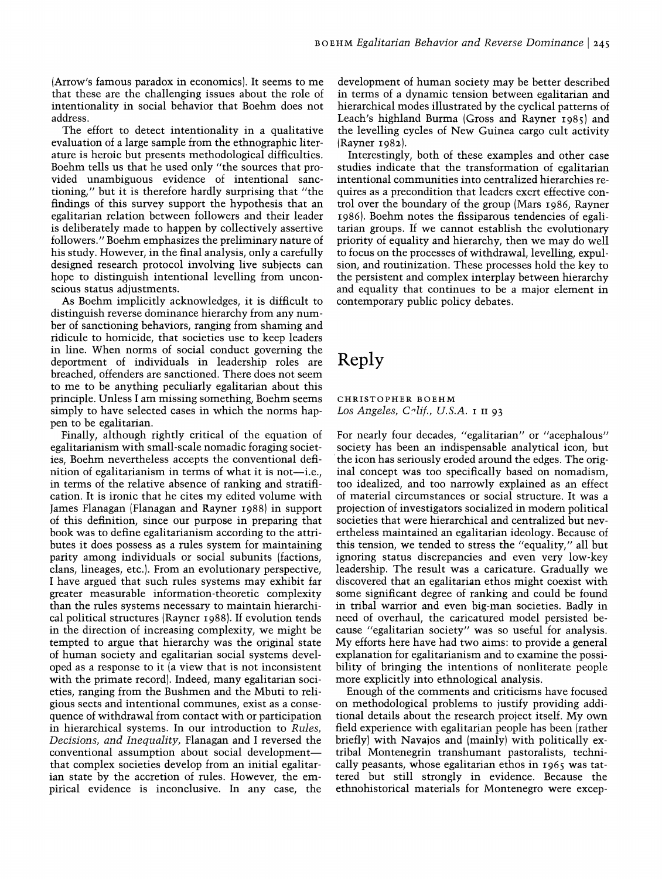(Arrow's famous paradox in economics). It seems to me that these are the challenging issues about the role of intentionality in social behavior that Boehm does not address.

The effort to detect intentionality in a qualitative evaluation of a large sample from the ethnographic literature is heroic but presents methodological difficulties. Boehm tells us that he used only "the sources that provided unambiguous evidence of intentional sanctioning," but it is therefore hardly surprising that "the findings of this survey support the hypothesis that an egalitarian relation between followers and their leader is deliberately made to happen by collectively assertive followers." Boehm emphasizes the preliminary nature of his study. However, in the final analysis, only a carefully designed research protocol involving live subjects can hope to distinguish intentional levelling from unconscious status adjustments.

As Boehm implicitly acknowledges, it is difficult to distinguish reverse dominance hierarchy from any number of sanctioning behaviors, ranging from shaming and ridicule to homicide, that societies use to keep leaders in line. When norms of social conduct governing the deportment of individuals in leadership roles are breached, offenders are sanctioned. There does not seem to me to be anything peculiarly egalitarian about this principle. Unless I am missing something, Boehm seems simply to have selected cases in which the norms happen to be egalitarian.

Finally, although rightly critical of the equation of egalitarianism with small-scale nomadic foraging societies, Boehm nevertheless accepts the conventional definition of egalitarianism in terms of what it is not-i.e., in terms of the relative absence of ranking and stratification. It is ironic that he cites my edited volume with James Flanagan (Flanagan and Rayner 1988) in support of this definition, since our purpose in preparing that book was to define egalitarianism according to the attributes it does possess as a rules system for maintaining parity among individuals or social subunits (factions, clans, lineages, etc.). From an evolutionary perspective, I have argued that such rules systems may exhibit far greater measurable information-theoretic complexity than the rules systems necessary to maintain hierarchical political structures (Rayner 1988). If evolution tends in the direction of increasing complexity, we might be tempted to argue that hierarchy was the original state of human society and egalitarian social systems developed as a response to it (a view that is not inconsistent with the primate record). Indeed, many egalitarian societies, ranging from the Bushmen and the Mbuti to religious sects and intentional communes, exist as a consequence of withdrawal from contact with or participation in hierarchical systems. In our introduction to *Rules, Decisions, and Inequality,* Flanagan and I reversed the conventional assumption about social developmentthat complex societies develop from an initial egalitarian state by the accretion of rules. However, the empirical evidence is inconclusive. In any case, the

development of human society may be better described in terms of a dynamic tension between egalitarian and hierarchical modes illustrated by the cyclical patterns of Leach's highland Burma (Gross and Rayner 1985) and the levelling cycles of New Guinea cargo cult activity (Rayner 1982).

Interestingly, both of these examples and other case studies indicate that the transformation of egalitarian intentional communities into centralized hierarchies requires as a precondition that leaders exert effective control over the boundary of the group (Mars 1986, Rayner 1986). Boehm notes the fissiparous tendencies of egalitarian groups. If we cannot establish the evolutionary priority of equality and hierarchy, then we may do well to focus on the processes of withdrawal, levelling, expulsion, and routinization. These processes hold the key to the persistent and complex interplay between hierarchy and equality that continues to be a major element in contemporary public policy debates.

# **Reply**

CHRISTOPHER BOEHM *Los Angeles, C"lif., U.S.A.* I II 93

For nearly four decades, "egalitarian" or "acephalous" society has been an indispensable analytical icon, but . the icon has seriously eroded around the edges. The original concept was too specifically based on nomadism, too idealized, and too narrowly explained as an effect of material circumstances or social structure. It was a projection of investigators socialized in modern political societies that were hierarchical and centralized but nevertheless maintained an egalitarian ideology. Because of this tension, we tended to stress the "equality," all but ignoring status discrepancies and even very low-key leadership. The result was a caricature. Gradually we discovered that an egalitarian ethos might coexist with some significant degree of ranking and could be found in tribal warrior and even big-man societies. Badly in need of overhaul, the caricatured model persisted because "egalitarian society" was so useful for analysis. My efforts here have had two aims: to provide a general explanation for egalitarianism and to examine the possibility of bringing the intentions of nonliterate people more explicitly into ethnological analysis.

Enough of the comments and criticisms have focused on methodological problems to justify providing additional details about the research project itself. My own field experience with egalitarian people has been (rather briefly) with Navajos and (mainly) with politically extribal Montenegrin transhumant pastoralists, technically peasants, whose egalitarian ethos in 1965 was tattered but still strongly in evidence. Because the ethnohistorical materials for Montenegro were excep-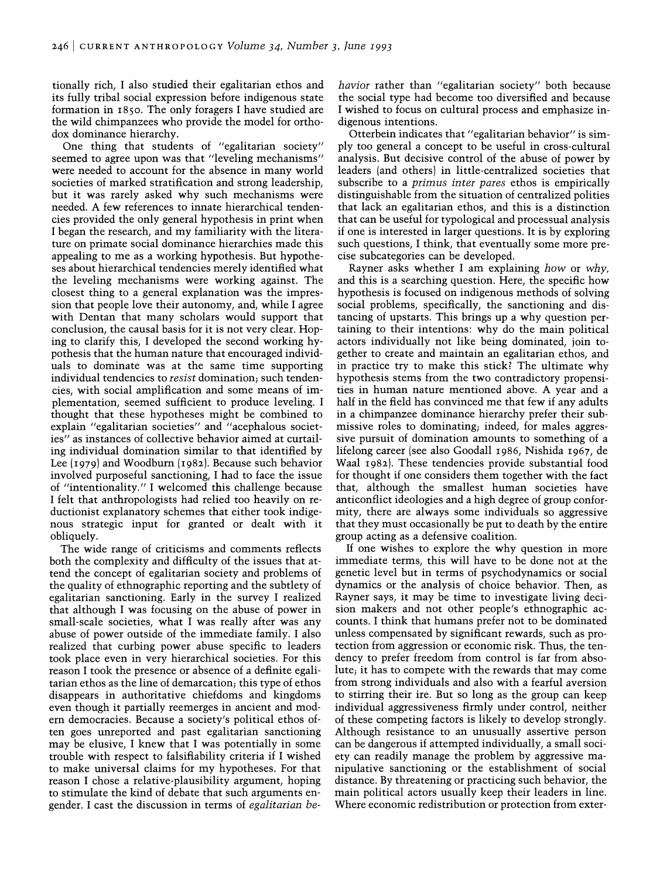tionally rich, I also studied their egalitarian ethos and its fully tribal social expression before indigenous state formation in 1850. The only foragers I have studied are the wild chimpanzees who provide the model for orthodox dominance hierarchy.

One thing that students of "egalitarian society" seemed to agree upon was that "leveling mechanisms" were needed to account for the absence in many world societies of marked stratification and strong leadership, but it was rarely asked why such mechanisms were needed. A few references to innate hierarchical tendencies provided the only general hypothesis in print when I began the research, and my familiarity with the literature on primate social dominance hierarchies made this appealing to me as a working hypothesis. But hypotheses about hierarchical tendencies merely identified what the leveling mechanisms were working against. The closest thing to a general explanation was the impression that people love their autonomy, and, while I agree with Dentan that many scholars would support that conclusion, the causal basis for it is not very clear. Hoping to clarify this, I developed the second working hypothesis that the human nature that encouraged individuals to dominate was at the same time supporting individual tendencies to *resist* domination; such tendencies, with social amplification and some means of implementation, seemed sufficient to produce leveling. I thought that these hypotheses might be combined to explain "egalitarian societies" and "acephalous societies" as instances of collective behavior aimed at curtailing individual domination similar to that identified by Lee (1979) and Woodburn (1982). Because such hehavior involved purposeful sanctioning, I had to face the issue of "intentionality." I welcomed this challenge because I felt that anthropologists had relied too heavily on reductionist explanatory schemes that either took indigenous strategic input for granted or dealt with it obliquely.

The wide range of criticisms and comments reflects both the complexity and difficulty of the issues that attend the concept of egalitarian society and problems of the quality of ethnographic reporting and the subtlety of egalitarian sanctioning. Early in the survey I realized that although I was focusing on the abuse of power in small-scale societies, what I was really after was any abuse of power outside of the immediate family. I also realized that curbing power abuse specific to leaders took place even in very hierarchical societies. For this reason I took the presence or absence of a definite egalitarian ethos as the line of demarcation; this type of ethos disappears in authoritative chiefdoms and kingdoms even though it partially reemerges in ancient and modem democracies. Because a society's political ethos often goes unreported and past egalitarian sanctioning may be elusive, I knew that I was potentially in some trouble with respect to falsifiability criteria if I wished to make universal claims for my hypotheses. For that reason I chose a relative-plausibility argument, hoping to stimulate the kind of debate that such arguments engender. I cast the discussion in terms of *egalitarian be-* *havior* rather than "egalitarian society" both because the social type had become too diversified and because I wished to focus on cultural process and emphasize indigenous intentions.

Otterbein indicates that "egalitarian behavior" is simply too general a concept to be useful in cross-cultural analysis. But decisive control of the abuse of power by leaders (and others) in little-centralized societies that subscribe to a *primus inter pares* ethos is empirically distinguishable from the situation of centralized polities that lack an egalitarian ethos, and this is a distinction that can be useful for typological and processual analysis if one is interested in larger questions. It is by exploring such questions, I think, that eventually some more precise subcategories can be developed.

Rayner asks whether I am explaining *how* or *why,*  and this is a searching question. Here, the specific how hypothesis is focused on indigenous methods of solving social problems, specifically, the sanctioning and distancing of upstarts. This brings up a why question pertaining to their intentions: why do the main political actors individually not like being dominated, join together to create and maintain an egalitarian ethos, and in practice try to make this stick? The ultimate why hypothesis stems from the two contradictory propensities in human nature mentioned above. A year and a half in the field has convinced me that few if any adults in a chimpanzee dominance hierarchy prefer their submissive roles to dominating; indeed, for males aggressive pursuit of domination amounts to something of a lifelong career (see also Goodall 1986, Nishida 1967, de Waal 1982). These tendencies provide substantial food for thought if one considers them together with the fact that, although the smallest human societies have anticonflict ideologies and a high degree of group conformity, there are always some individuals so aggressive that they must occasionally be put to death by the entire group acting as a defensive coalition.

If one wishes to explore the why question in more immediate terms, this will have to be done not at the genetic level but in terms of psychodynamics or social dynamics or the analysis of choice behavior. Then, as Rayner says, it may be time to investigate living decision makers and not other people's ethnographic accounts. I think that humans prefer not to be dominated unless compensated by significant rewards, such as protection from aggression or economic risk. Thus, the tendency to prefer freedom from control is far from absolute; it has to compete with the rewards that may come from strong individuals and also with a fearful aversion to stirring their ire. But so long as the group can keep individual aggressiveness firmly under control, neither of these competing factors is likely to develop strongly. Although resistance to an unusually assertive person can be dangerous if attempted individually, a small society can readily manage the problem by aggressive manipulative sanctioning or the establishment of social distance. By threatening or practicing such behavior, the main political actors usually keep their leaders in line. Where economic redistribution or protection from exter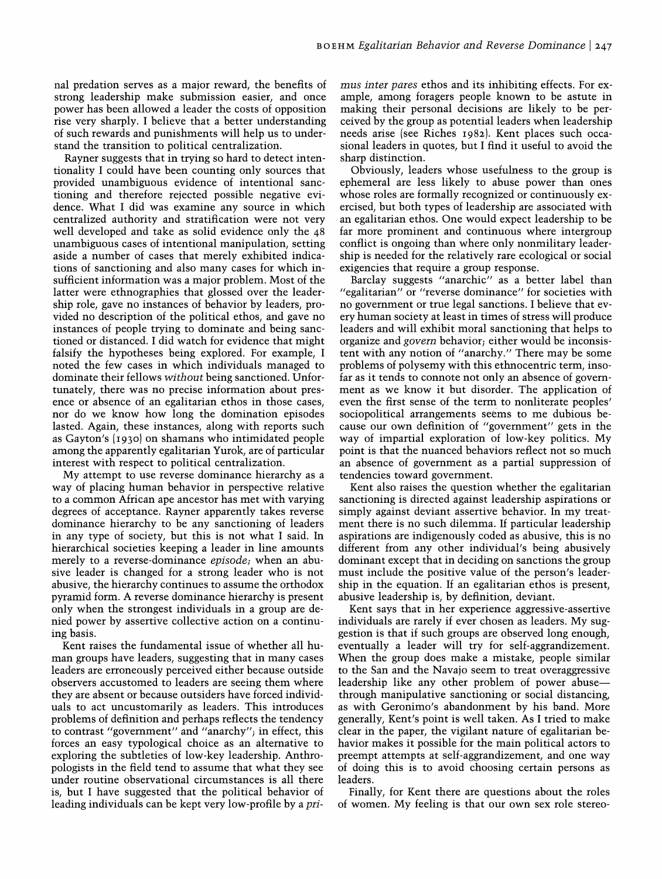nal predation serves as a major reward, the benefits of strong leadership make submission easier, and once power has been allowed a leader the costs of opposition rise very sharply. I believe that a better understanding of such rewards and punishments will help us to understand the transition to political centralization.

Rayner suggests that in trying so hard to detect intentionality I could have been counting only sources that provided unambiguous evidence of intentional sanctioning and therefore rejected possible negative evidence. What I did was examine any source in which centralized authority and stratification were not very well developed and take as solid evidence only the 48 unambiguous cases of intentional manipulation, setting aside a number of cases that merely exhibited indications of sanctioning and also many cases for which insufficient information was a major problem. Most of the latter were ethnographies that glossed over the leadership role, gave no instances of behavior by leaders, provided no description of the political ethos, and gave no instances of people trying to dominate and being sanctioned or distanced. I did watch for evidence that might falsify the hypotheses being explored. For example, I noted the few cases in which individuals managed to dominate their fellows *without* being sanctioned. Unfortunately, there was no precise information about presence or absence of an egalitarian ethos in those cases, nor do we know how long the domination episodes lasted. Again, these instances, along with reports such as Gayton's (1930) on shamans who intimidated people among the apparently egalitarian Yurok, are of particular interest with respect to political centralization.

My attempt to use reverse dominance hierarchy as a way of placing human behavior in perspective relative to a common African ape ancestor has met with varying degrees of acceptance. Rayner apparently takes reverse dominance hierarchy to be any sanctioning of leaders in any type of society, but this is not what I said. In hierarchical societies keeping a leader in line amounts merely to a reverse-dominance *episode;* when an abusive leader is changed for a strong leader who is not abusive, the hierarchy continues to assume the orthodox pyramid form. A reverse dominance hierarchy is present only when the strongest individuals in a group are denied power by assertive collective action on a continuing basis.

Kent raises the fundamental issue of whether all human groups have leaders, suggesting that in many cases leaders are erroneously perceived either because outside observers accustomed to leaders are seeing them where they are absent or because outsiders have forced individuals to act uncustomarily as leaders. This introduces problems of definition and perhaps reflects the tendency to contrast "government" and "anarchy"; in effect, this forces an easy typological choice as an alternative to exploring the subtleties of low-key leadership. Anthropologists in the field tend to assume that what they see under routine observational circumstances is all there is, but I have suggested that the political behavior of leading individuals can be kept very low-profile by a *pri-* *mus inter pares* ethos and its inhibiting effects. For example, among foragers people known to be astute in making their personal decisions are likely to be perceived by the group as potential leaders when leadership needs arise (see Riches 1982). Kent places such occasional leaders in quotes, but I find it useful to avoid the sharp distinction.

Obviously, leaders whose usefulness to the group is ephemeral are less likely to abuse power than ones whose roles are formally recognized or continuously exercised, but both types of leadership are associated with an egalitarian ethos. One would expect leadership to be far more prominent and continuous where intergroup conflict is ongoing than where only nonmilitary leadership is needed for the relatively rare ecological or social exigencies that require a group response.

Barclay suggests "anarchic" as a better label than "egalitarian" or "reverse dominance" for societies with no government or true legal sanctions. I believe that every human society at least in times of stress will produce leaders and will exhibit moral sanctioning that helps to organize and *govern* behavior; either would be inconsistent with any notion of "anarchy." There may be some problems of polysemy with this ethnocentric term, insofar as it tends to connote not only an absence of government as we know it but disorder. The application of even the first sense of the term to nonliterate peoples' sociopolitical arrangements seems to me dubious because our own definition of "government" gets in the way of impartial exploration of low-key politics. My point is that the nuanced behaviors reflect not so much an absence of government as a partial suppression of tendencies toward government.

Kent also raises the question whether the egalitarian sanctioning is directed against leadership aspirations or simply against deviant assertive behavior. In my treatment there is no such dilemma. If particular leadership aspirations are indigenously coded as abusive, this is no different from any other individual's being abusively dominant except that in deciding on sanctions the group must include the positive value of the person's leadership in the equation. If an egalitarian ethos is present, abusive leadership is, by definition, deviant.

Kent says that in her experience aggressive-assertive individuals are rarely if ever chosen as leaders. My suggestion is that if such groups are observed long enough, eventually a leader will try for self-aggrandizement. When the group does make a mistake, people similar to the San and the Navajo seem to treat overaggressive leadership like any other problem of power abusethrough manipulative sanctioning or social distancing, as with Geronimo's abandonment by his band. More generally, Kent's point is well taken. As I tried to make clear in the paper, the vigilant nature of egalitarian behavior makes it possible for the main political actors to preempt attempts at self-aggrandizement, and one way of doing this is to avoid choosing certain persons as leaders.

Finally, for Kent there are questions about the roles of women. My feeling is that our own sex role stereo-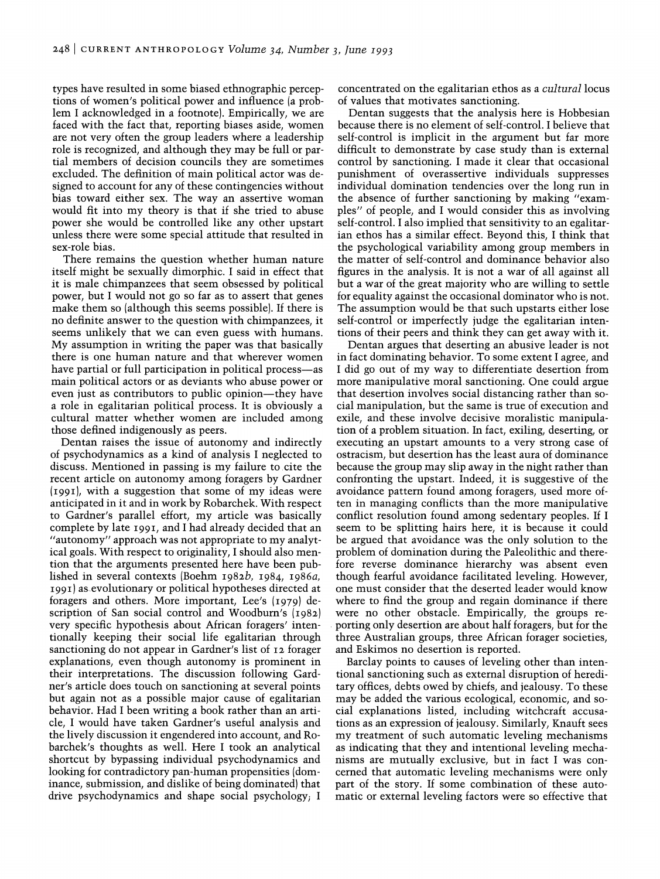types have resulted in some biased ethnographic perceptions of women's political power and influence (a problem I acknowledged in a footnote). Empirically, we are faced with the fact that, reporting biases aside, women are not very often the group leaders where a leadership role is recognized, and although they may be full or partial members of decision councils they are sometimes excluded. The definition of main political actor was designed to account for any of these contingencies without bias toward either sex. The way an assertive woman would fit into my theory is that if she tried to abuse power she would be controlled like any other upstart unless there were some special attitude that resulted in sex-role bias.

There remains the question whether human nature itself might be sexually dimorphic. I said in effect that it is male chimpanzees that seem obsessed by political power, but I would not go so far as to assert that genes make them so (although this seems possible). If there is no definite answer to the question with chimpanzees, it seems unlikely that we can even guess with humans. My assumption in writing the paper was that basically there is one human nature and that wherever women have partial or full participation in political process—as main political actors or as deviants who abuse power or even just as contributors to public opinion—they have a role in egalitarian political process. It is obviously a cultural matter whether women are included among those defined indigenously as peers.

Dentan raises the issue of autonomy and indirectly of psychodynamics as a kind of analysis I neglected to discuss. Mentioned in passing is my failure to .cite the recent article on autonomy among foragers by Gardner (1991), with a suggestion that some of my ideas were anticipated in it and in work by Robarchek. With respect to Gardner's parallel effort, my article was basically complete by late 1991, and I had already decided that an "autonomy" approach was not appropriate to my analytical goals. With respect to originality, I should also mention that the arguments presented here have been published in several contexts (Boehm *1982b,* 1984, *1986a,*  1991) as-evolutionary or political hypotheses directed at foragers and others. More important, Lee's (1979) description of San social control and Woodburn's (1982) very specific hypothesis about African foragers' intentionally keeping their social life egalitarian through sanctioning do not appear in Gardner's list of 12 forager explanations, even though autonomy is prominent in their interpretations. The discussion following Gardner's article does touch on sanctioning at several points but again not as a possible major cause of egalitarian behavior. Had I been writing a book rather than an article, I would have taken Gardner's useful analysis and the lively discussion it engendered into account, and Robarchek's thoughts as well. Here I took an analytical shortcut by bypassing individual psychodynamics and looking for contradictory pan-human propensities (dominance, submission, and dislike of being dominated) that drive psychodynamics and shape social psychology; I

concentrated on the egalitarian ethos as a *cultural* locus of values that motivates sanctioning.

Dentan suggests that the analysis here is Hobbesian because there is no element of self-control. I believe that self-control is implicit in the argument but far more difficult to demonstrate by case study than is external control by sanctioning. I made it clear that occasional punishment of overassertive individuals suppresses individual domination tendencies over the long run in the absence of further sanctioning by making "exampIes" of people, and I would consider this as involving self-control. I also implied that sensitivity to an egalitarian ethos has a similar effect. Beyond this, I think that the psychological variability among group members in the matter of self-control and dominance behavior also figures in the analysis. It is not a war of all against all but a war of the great majority who are willing to settle for equality against the occasional dominator who is not. The assumption would be that such upstarts either lose self-control or imperfectly judge the egalitarian intentions of their peers and think they can get away with it.

Dentan argues that deserting an abusive leader is not in fact dominating behavior. To some extent I agree, and I did go out of my way to differentiate desertion from more manipulative moral sanctioning. One could argue that desertion involves social distancing rather than social manipulation, but the same is true of execution and exile, and these involve decisive moralistic manipulation of a problem situation. In fact, exiling, deserting, or executing an upstart amounts to a very strong case of ostracism, but desertion has the least aura of dominance because the group may slip away in the night rather than confronting the upstart. Indeed, it is suggestive of the avoidance pattern found among foragers, used more often in managing conflicts than the more manipulative conflict resolution found among sedentary peoples. If I seem to be splitting hairs here, it is because it could be argued that avoidance was the only solution to the problem of domination during the Paleolithic and therefore reverse dominance hierarchy was absent even though fearful avoidance facilitated leveling. However, one must consider that the deserted leader would know where to find the group and regain dominance if there were no other obstacle. Empirically, the groups re-. porting only desertion are about half foragers, but for the three Australian groups, three African forager societies, and Eskimos no desertion is reported.

Barclay points to causes of leveling other than intentional sanctioning such as external disruption of hereditary offices, debts owed by chiefs, and jealousy. To these may be added the various ecological, economic, and social explanations listed, including witchcraft accusations as an expression of jealousy. Similarly, Knauft sees my treatment of such automatic leveling mechanisms as indicating that they and intentional leveling mechanisms are mutually exclusive, but in fact I was concerned that automatic leveling mechanisms were only part of the story. If some combination of these automatic or external leveling factors were so effective that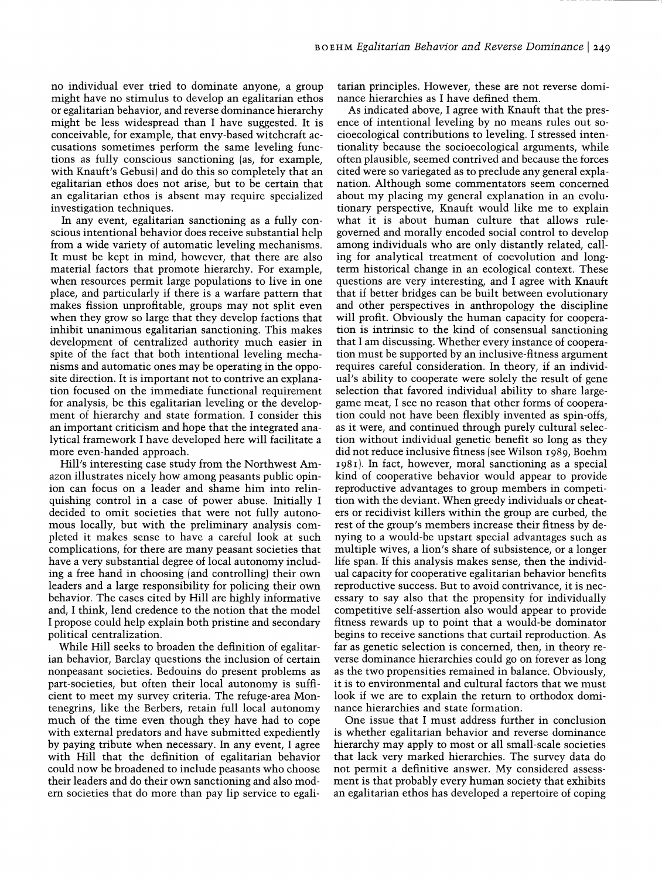no individual ever tried to dominate anyone, a group might have no stimulus to develop an egalitarian ethos or egalitarian behavior, and reverse dominance hierarchy might be less widespread than I have suggested. It is conceivable, for example, that envy-based witchcraft accusations sometimes perform the same leveling functions as fully conscious sanctioning (as, for example, with Knauft's Gebusi) and do this so completely that an egalitarian ethos does not arise, but to be certain that an egalitarian ethos is absent may require specialized investigation techniques.

In any event, egalitarian sanctioning as a fully conscious intentional behavior does receive substantial help from a wide variety of automatic leveling mechanisms. It must be kept in mind, however, that there are also material factors that promote hierarchy. For example, when resources permit large populations to live in one place, and particularly if there is a warfare pattern that makes fission unprofitable, groups may not split even when they grow so large that they develop factions that inhibit unanimous egalitarian sanctioning. This makes development of centralized authority much easier in spite of the fact that both intentional leveling mechanisms and automatic ones may be operating in the opposite direction. It is important not to contrive an explanation focused on the immediate functional requirement for analysis, be this egalitarian leveling or the development of hierarchy and state formation. I consider this an important criticism and hope that the integrated analytical framework I have developed here will facilitate a more even-handed approach.

Hill's interesting case study from the Northwest Amazon illustrates nicely how among peasants public opinion can focus on a leader and shame him into relinquishing control in a case of power abuse. Initially I decided to omit societies that were not fully autonomous locally, but with the preliminary analysis completed it makes sense to have a careful look at such complications, for there are many peasant societies that have a very substantial degree of local autonomy including a free hand in choosing (and controlling) their own leaders and a large responsibility for policing their own behavior. The cases cited by Hill are highly informative and, I think, lend credence to the notion that the model I propose could help explain both pristine and secondary political centralization.

While Hill seeks to broaden the definition of egalitarian behavior, Barclay questions the inclusion of certain non peasant societies. Bedouins do present problems as part-societies, but often their local autonomy is sufficient to meet my survey criteria. The refuge-area Montenegrins, like the Berbers, retain full local autonomy much of the time even though they have had to cope with external predators and have submitted expediently by paying tribute when necessary. In any event, I agree with Hill that the definition of egalitarian behavior could now be broadened to include peasants who choose their leaders and do their own sanctioning and also modem societies that do more than pay lip service to egali-

tarian principles. However, these are not reverse dominance hierarchies as I have defined them.

As indicated above, I agree with Knauft that the presence of intentional leveling by no means rules out socioecological contributions to leveling. I stressed intentionality because the socioecological arguments, while often plausible, seemed contrived and because the forces cited were so variegated as to preclude any general explanation. Although some commentators seem concerned about my placing my general explanation in an evolutionary perspective, Knauft would like me to explain what it is about human culture that allows rulegoverned and morally encoded social control to develop among individuals who are only distantly related, calling for analytical treatment of coevolution and longterm historical change in an ecological context. These questions are very interesting, and I agree with Knauft that if better bridges can be built between evolutionary and other perspectives in anthropology the discipline will profit. Obviously the human capacity for cooperation is intrinsic to the kind of consensual sanctioning that I am discussing. Whether every instance of cooperation must be supported by an inclusive-fitness argument requires careful consideration. In theory, if an individual's ability to cooperate were solely the result of gene selection that favored individual ability to share largegame meat, I see no reason that other forms of cooperation could not have been flexibly invented as spin-offs, as it were, and continued through purely cultural selection without individual genetic benefit so long as they did not reduce inclusive fitness (see Wilson 1989, Boehm 1981). In fact, however, moral sanctioning as a special kind of cooperative behavior would appear to provide reproductive advantages to group members in competition with the deviant. When greedy individuals or cheaters or recidivist killers within the group are curbed, the rest of the group's members increase their fitness by denying to a would-be upstart special advantages such as multiple wives, a lion's share of subsistence, or a longer life span. If this analysis makes sense, then the individual capacity for cooperative egalitarian behavior benefits reproductive success. But to avoid contrivance, it is necessary to say also that the propensity for individually competitive self-assertion also would appear to provide fitness rewards up to point that a would-be dominator begins to receive sanctions that curtail reproduction. As far as genetic selection is concerned, then, in theory reverse dominance hierarchies could go on forever as long as the two propensities remained in balance. Obviously, it is to environmental and cultural factors that we must look if we are to explain the return to orthodox dominance hierarchies and state formation.

One issue that I must address further in conclusion is whether egalitarian behavior and reverse dominance hierarchy may apply to most or all small-scale societies that lack very marked hierarchies. The survey data do not permit a definitive answer. My considered assessment is that probably every human society that exhibits an egalitarian ethos has developed a repertoire of coping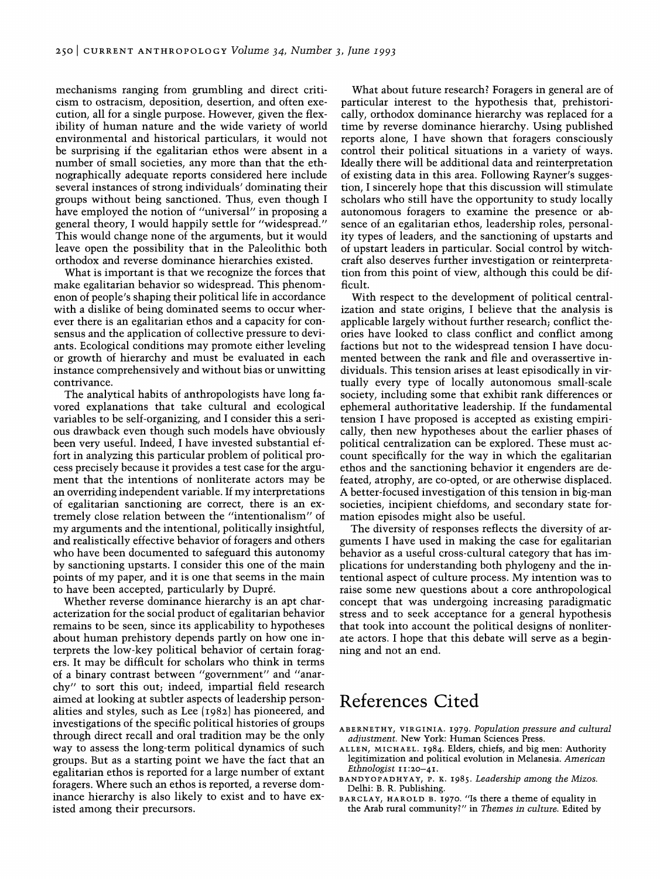mechanisms ranging from grumbling and direct criticism to ostracism, deposition, desertion, and often execution, all for a single purpose. However, given the flexibility of human nature and the wide variety of world environmental and historical particulars, it would not be surprising if the egalitarian ethos were absent in a number of small societies, any more than that the ethnographically adequate reports considered here include several instances of strong individuals' dominating their groups without being sanctioned. Thus, even though I have employed the notion of "universal" in proposing a general theory, I would happily settle for "widespread." This would change none of the arguments, but it would leave open the possibility that in the Paleolithic both orthodox and reverse dominance hierarchies existed.

What is important is that we recognize the forces that make egalitarian behavior so widespread. This phenomenon of people's shaping their political life in accordance with a dislike of being dominated seems to occur wherever there is an egalitarian ethos and a capacity for consensus and the application of collective pressure to deviants. Ecological conditions may promote either leveling or growth of hierarchy and must be evaluated in each instance comprehensively and without bias or unwitting contrivance.

The analytical habits of anthropologists have long favored explanations that take cultural and ecological variables to be self-organizing, and I consider this a serious drawback even though such models have obviously been very useful. Indeed, I have invested substantial effort in analyzing this particular problem of political process precisely because it provides a test case for the argument that the intentions of nonliterate actors may be an overriding independent variable. If my interpretations of egalitarian sanctioning are correct, there is an extremely close relation between the "intentionalism" of my arguments and the intentional, politically insightful, and realistically effective behavior of foragers and others who have been documented to safeguard this autonomy by sanctioning upstarts. I consider this one of the main points of my paper, and it is one that seems in the main to have been accepted, particularly by Dupre.

Whether reverse dominance hierarchy is an apt characterization for the social product of egalitarian behavior remains to be seen, since its applicability to hypotheses about human prehistory depends partly on how one interprets the low-key political behavior of certain foragers. It may be difficult for scholars who think in terms of a binary contrast between "government" and "anarchy" to sort this out; indeed, impartial field research aimed at looking at subtler aspects of leadership personalities and styles, such as Lee (1982) has pioneered, and investigations of the specific political histories of groups through direct recall and oral tradition may be the only way to assess the long-term political dynamics of such groups. But as a starting point we have the fact that an egalitarian ethos is reported for a large number of extant foragers. Where such an ethos is reported, a reverse dominance hierarchy is also likely to exist and to have existed among their precursors.

What about future research? Foragers in general are of particular interest to the hypothesis that, prehistorically, orthodox dominance hierarchy was replaced for a time by reverse dominance hierarchy. Using published reports alone, I have shown that foragers consciously control their political situations in a variety of ways. Ideally there will be additional data and reinterpretation of existing data in this area. Following Rayner's suggestion, I sincerely hope that this discussion will stimulate scholars who still have the opportunity to study locally autonomous foragers to examine the presence or absence of an egalitarian ethos, leadership roles, personality types of leaders, and the sanctioning of upstarts and of upstart leaders in particular. Social control by witchcraft also deserves further investigation or reinterpretation from this point of view, although this could be difficult.

With respect to the development of political centralization and state origins, I believe that the analysis is applicable largely without further research; conflict theories have looked to class conflict and conflict among factions but not to the widespread tension I have documented between the rank and file and overassertive individuals. This tension arises at least episodically in virtually every type of locally autonomous small-scale society, including some that exhibit rank differences or ephemeral authoritative leadership. If the fundamental tension I have proposed is accepted as existing empirically, then new hypotheses about the earlier phases of political centralization can be explored. These must account specifically for the way in which the egalitarian ethos and the sanctioning behavior it engenders are defeated, atrophy, are co-opted, or are otherwise displaced. A better-focused investigation of this tension in big-man societies, incipient chiefdoms, and secondary state formation episodes might also be useful.

The diversity of responses reflects the diversity of arguments I have used in making the case for egalitarian behavior as a useful cross-cultural category that has implications for understanding both phylogeny and the intentional aspect of culture process. My intention was to raise some new questions about a core anthropological concept that was undergoing increasing paradigmatic stress and to seek acceptance for a general hypothesis that took into account the political designs of nonliterate actors. I hope that this debate will serve as a beginning and not an end.

# **References Cited**

- ABERNETHY, VIRGINIA. 1979. *Population pressure and cultural adjustment.* New York: Human Sciences Press.
- ALLEN, MICHAEL. 1984. Elders, chiefs, and big men: Authority legitimization and political evolution in Melanesia. *American Ethnologist* 11:20-41.
- BANDYOPADHYAY, P. K. 1985. *Leadership among the Mizos.*  Delhi: B. R. Publishing.
- BARCLAY, HAROLD B. 1970. "Is there a theme of equality in the Arab rural community?" in *Themes in culture.* Edited by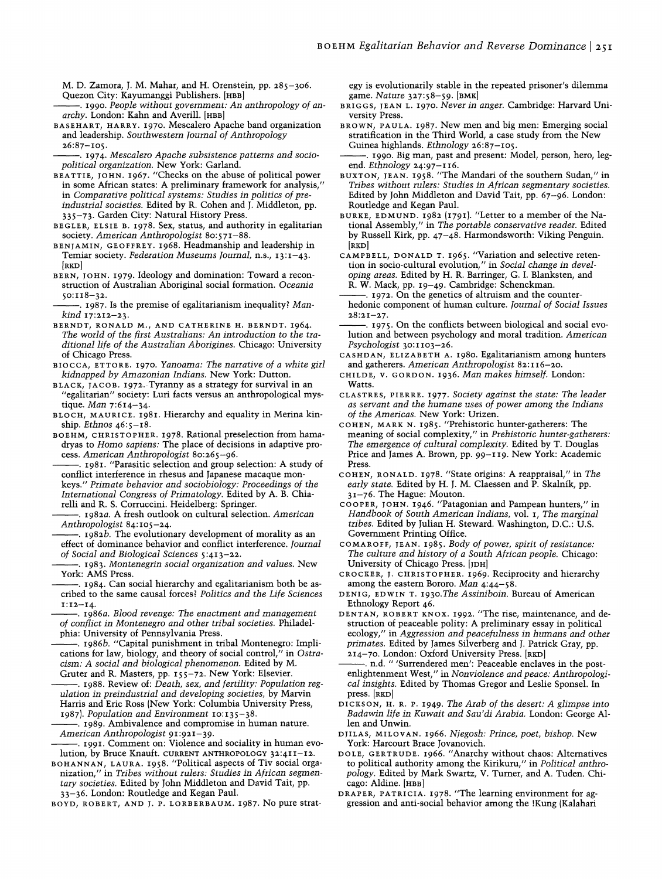M. D. Zamora, J. M. Mahar, and H. Orenstein, pp. 285-306. Quezon City: Kayumanggi Publishers. [HBB]

- --. 1990. *People without government: An anthropology of anarchy.* London: Kahn and Averill. [HBB]
- BASEHART, HARRY. 1970. Mescalero Apache band organization and leadership. *Southwestern TournaI of Anthropology*   $26:87 - I$  05.
- ---. 1974. *Mescalero Apache subsistence patterns and sociopolitical organization.* New York: Garland.
- BEATTIE, JOHN. 1967. "Checks on the abuse of political power in some African states: A preliminary framework for analysis/' in *Comparative political systems: Studies in politics of preindustrial societies.* Edited by R. Cohen and J. Middleton, pp. 335-73. Garden City: Natural History Press.
- BEGLER, ELSIE B. 1978. Sex, status, and authority in egalitarian society. *American Anthropologist 80:571-88.*
- BENJAMIN, GEOFFREY. 1968. Headmanship and leadership in Temiar society. *Federation Museums TournaI,* n.s., 13:1-43. [RKD]
- BERN, JOHN. 1979. Ideology and domination: Toward a reconstruction of Australian Aboriginal social formation. *Oceania*   $50:118-32.$
- ---. 1987. Is the premise of egalitarianism inequality? *Mankind 17:212-23.*
- BERNDT, RONALD M., AND CATHERINE H. BERNDT. 1964. The world of the first Australians: An introduction to the tra*ditionallife of the Australian Aborigines.* Chicago: University of Chicago Press.
- BIOCCA, ETTORE. 1970. *Yanoama: The narrative of a white girl kidnapped by Amazonian Indians.* New York: Dutton.
- BLACK, JACOB. 1972. Tyranny as a strategy for survival in an "egalitarian" society: Luri facts versus an anthropological mystique. *Man 7:614-34.*
- BLOCH, MAURICE. 1981. Hierarchy and equality in Merina kinship. *Ethnos 46:5-18.*
- BOEHM, CHRISTOPHER. 1978. Rational preselection from hamadryas to *Homo sapiens:* The place of decisions in adaptive process. *American Anthropologist 80:265-96.*
- 1981. "Parasitic selection and group selection: A study of conflict interference in rhesus and Japanese macaque monkeys." *Primate behavior and sociobiology: Proceedings of the International Congress of Primatology.* Edited by A. B. Chiarelli and R. S. Corruccini. Heidelberg: Springer.
- ---. *1982a.* A fresh outlook on cultural selection. *American Anthropologist 84:105-24.*
- . **1982b.** The evolutionary development of morality as an effect of dominance behavior and conflict interference. *TournaI of Social and Biological Sciences 5:413-22.*
- ---. 1983. *Montenegrin social organization and values.* New York: AMS Press.
- . 1984. Can social hierarchy and egalitarianism both be ascribed to the same causal forces? *Politics and the Life Sciences*  1:12-14·
- ---. *1986a. Blood revenge: The enactment and management of conflict in Montenegro and other tribal societies.* Philadelphia: University of Pennsylvania Press.
- ---. *1986b.* "Capital punishment in tribal Montenegro: Implications for law, biology, and theory of social control," in *Ostracism: A social and biological phenomenon.* Edited by M. Gruter and R. Masters, pp. 155-72. New York: Elsevier.
- . 1988. Review of: *Death, sex, and fertility: Population regulation in preindustrial and developing societies,* by Marvin Harris and Eric Ross (New York: Columbia University Press, *1987). Population and Environment 10:135-38.*
- . 1989. Ambivalence and compromise in human nature. *American Anthropologist 91:921-39.*
- . 1991. Comment on: Violence and sociality in human evolution, by Bruce Knauft. CURRENT ANTHROPOLOGY 32:4II-12.
- BOHANNAN, LAURA. 1958. "Political aspects of Tiv social organization," in *Tribes without rulers: Studies in African segmentary societies.* Edited by John Middleton and David Tait, pp. 33-36. London: Routledge and Kegan Paul.
- BOYD, ROBERT, AND J. P. LORBERBAUM. 1987. No pure strat-

egy is evolutionarily stable in the repeated prisoner's dilemma game. *Nature* 327:58-59. [BMK]

- BRIGGS, JEAN L. 1970. *Never in anger.* Cambridge: Harvard University Press.
- BROWN, PAULA. 1987. New men and big men: Emerging social stratification in the Third World, a case study from the New Guinea highlands. *Ethnology 26:87-105.*
- -. 1990. Big man, past and present: Model, person, hero, legend. *Ethnology* 24:97-II6.
- BUXTON, JEAN. 1958. "The Mandari of the southern Sudan," in *Tribes without rulers: Studies in African segmentary societies.*  Edited by John Middleton and David Tait, pp. 67-96. London: Routledge and Kegan Paul.
- BURKE, EDMUND. 1982 (1791). "Letter to a member of the National Assembly," in *The portable conservative reader.* Edited by Russell Kirk, pp. 47-48. Harmondsworth: Viking Penguin. [RKD]
- CAMPBELL, DONALD T. 1965. "Variation and selective retention in socio-cultural evolution," in *Social change in developing areas.* Edited by H. R. Barringer, G. I. Blanksten, and R. W. Mack, pp. 19-49. Cambridge: Schenckman.
- -. 1972. On the genetics of altruism and the counterhedonic component of human culture. *TournaI of Social Issues*   $28:21 - 27$
- -. 1975. On the conflicts between biological and social evolution and between psychology and moral tradition. *American Psychologist* 30: II03-26.
- CASHDAN, ELIZABETH A. 1980. Egalitarianism among hunters and gatherers. *American Anthropologist* 82:II6-20.
- CHILDE, v. GORDON. 1936. *Man makes himself.* London: Watts.
- CLASTRES, PIERRE. 1977. *Society against the state: The leader as servant and the humane uses of power among the Indians of the Americas.* New York: Urizen.
- COHEN, MARK N. 1985. "Prehistoric hunter-gatherers: The meaning of social complexity," in *Prehistoric hunter-gatherers: The emergence of cultural complexity.* Edited by T. Douglas Price and James A. Brown, pp. 99-II9. New York: Academic Press.
- COHEN, RONALD. 1978. "State origins: A reappraisal," in *The early state.* Edited by H. J. M. Claessen and P. Skalnik, pp. 31-76. The Hague: Mouton.
- COOPER, JOHN. 1946. "Patagonian and Pampean hunters," in *Handbook of South American Indians,* vol. I, *The marginal tribes.* Edited by Julian H. Steward. Washington, D.C.: U.S. Government Printing Office.
- COMAROFF, JEAN. 1985. *Body of power, spirit of resistance: The culture and history of a South African people.* Chicago: University of Chicago Press. [JDH]
- CROCKER, J. CHRISTOPHER. 1969. Reciprocity and hierarchy among the eastern Bororo. *Man 4:44-58.*
- DENIG, EDWIN T. *1930.The Assiniboin.* Bureau of American Ethnology Report 46.
- DENTAN, ROBERT KNOX. 1992. "The rise, maintenance, and destruction of peaceable polity: A preliminary essay in political ecology," in *Aggression and peacefulness in humans and other primates.* Edited by James Silverberg and J. Patrick Gray, pp. 214-70. London: Oxford University Press. [RKD]
- n.d. " 'Surrendered men': Peaceable enclaves in the postenlightenment West," in *Nonviolence and peace: Anthropological insights.* Edited by Thomas Gregor and Leslie Sponsel. In press. [RKD]
- DICKSON, H. R. P. 1949. *The Arab of the desert: A glimpse into Badawin life in Kuwait and Sau'di Arabia.* London: George Allen and Unwin.
- DJILAS, MILOVAN. 1966. *Njegosh: Prince, poet, bishop.* New York: Harcourt Brace Jovanovich.
- DOLE, GERTRUDE. 1966. "Anarchy without chaos: Alternatives to political authority among the Kirikuru," in *Political anthropology.* Edited by Mark Swartz, V. Turner, and A. Tuden. Chicago: Aldine. [HBB]
- DRAPER, PATRICIA. 1978. "The learning environment for aggression and anti-social behavior among the !Kung (Kalahari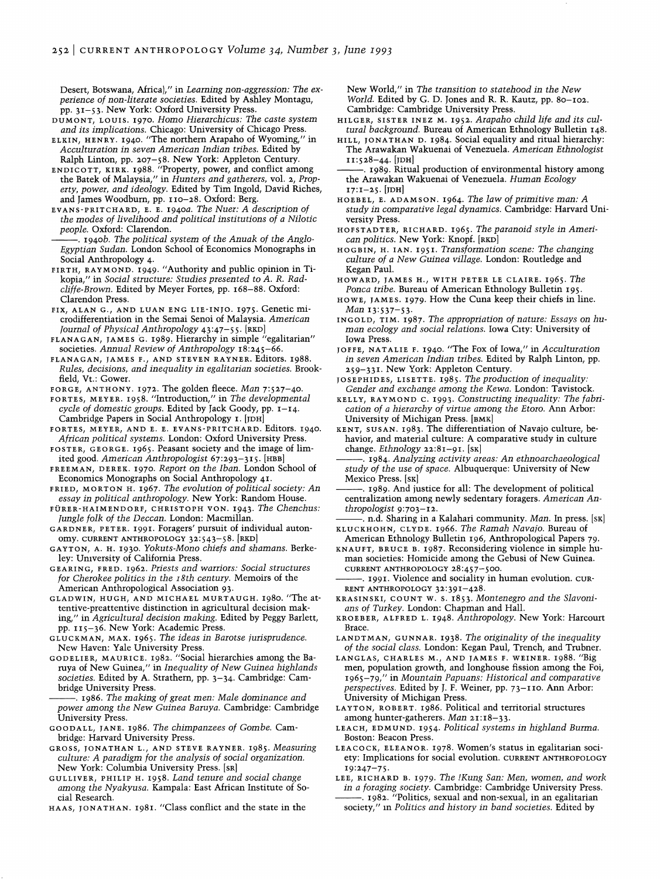Desert, Botswana, Africa)," in *Learning non-aggression: The experience of non-literate societies.* Edited by Ashley Montagu, pp. 31-53. New York: Oxford University Press.

DUMONT, LOUIS. 1970. *Homo Hierarchicus: The caste system and its implications.* Chicago: University of Chicago Press.

ELKIN, HENRY. 1940. "The northern Arapaho of Wyoming," in *Acculturation in seven American Indian tribes.* Edited by Ralph Linton, pp. 207-58. New York: Appleton Century.

ENDICOTT, KIRK. 1988. "Property, power, and conflict among the Batek of Malaysia," in *Hunters and gatherers,* vol. 2, *Property, power, and ideology.* Edited by Tim Ingold, David Riches, and James Woodburn, pp. 110-28. Oxford: Berg.

EVANS-PRITCHARD, E. E. 1940a. *The Nuer: A description of the modes of livelihood and political institutions of a Nilotic people.* Oxford: Clarendon.

1940b. The political system of the Anuak of the Anglo-*Egyptian Sudan.* London School of Economics Monographs in Social Anthropology 4.

FIRTH, RAYMOND. 1949. "Authority and public opinion in Tikopia," in *Social structure: Studies presented* to *A. R. Radcliffe-Brown.* Edited by Meyer Fortes, pp. 168-88. Oxford: Clarendon Press.

FIX, ALAN G., AND LUAN ENG LIE-INJO. 1975. Genetic microdifferentiation in the Semai Senoi of Malaysia. *American Journal of Physical Anthropology* 43:47-55. [RKD]

FLANAGAN, JAMES G. 1989. Hierarchy in simple "egalitarian" societies. *Annual Review of Anthropology 18:245-66.* 

FLANAGAN, JAMES F., AND STEVEN RAYNER. Editors. 1988. *Rules, decisions, and inequality in egalitarian societies.* Brookfield, Vt.: Gower.

FORGE, ANTHONY. 1972. The golden fleece. *Man 7:527-40.* 

FORTES, MEYER. 1958. "Introduction," in *The developmental cycle of domestic groups.* Edited by Jack Goody, pp. 1-14. Cambridge Papers in Social Anthropology I. [JDH]

FORTES, MEYER, AND E. E. EVANS-PRITCHARD. Editors. 1940. *African political systems.* London: Oxford University Press.

FOSTER, GEORGE. 1965. Peasant society and the image of limited good. *American Anthropologist* 67:293-315. [HBB]

FREEMAN, DEREK. 1970. *Report on the Iban.* London School of Economics Monographs on Social Anthropology 41.

FRIED, MORTON H. 1967. *The evolution of political society: An essay in political anthropology.* New York: Random House.

FURER-HAIMENDORF, CHRISTOPH VON. 1943. *The Chenchus: Jungle folk of the Deccan. London: Macmillan.* 

GARDNER, PETER. 1991. Foragers' pursuit of individual autonomy. CURRENT ANTHROPOLOGY 32:543-58. [RKD]

GAYTON, A. H. 1930. *Yokuts-Mono chiefs and shamans.* Berkeley: University of California Press.

GEARING, FRED. 1962. *Priests and warriors: Social structures for Cherokee politics in the* r *8th century.* Memoirs of the American Anthropological Association 93.

GLADWIN, HUGH, AND MICHAEL MURTAUGH. 1980. "The attentive-preattentive distinction in agricultural decision making," in *Agricultural decision making.* Edited by Peggy Barlett, pp. 115-36. New York: Academic Press.

GLUCKMAN, MAX. 1965. *The ideas in Barotse jurisprudence.*  New Haven: Yale University Press.

GODELIER, MAURICE. 1982. "Social hierarchies among the Baruya of New Guinea," in *Inequality of New Guinea highlands societies.* Edited by A. Strathern, pp. 3-34. Cambridge: Cambridge University Press.

--. 1986. *The making of great men: Male dominance and power among the New Guinea Baruya.* Cambridge: Cambridge University Press.

GOODALL, JANE. 1986. *The chimpanzees of Gombe.* Cambridge: Harvard University Press.

GROSS, JONATHAN L., AND STEVE RAYNER. 1985. *Measuring culture: A paradigm for the analysis of social organization.*  New York: Columbia University Press. [SR]

GULLIVER, PHILIP H. 1958. *Land tenure and social change among the Nyakyusa.* Kampala: East African Institute of Social Research.

HAAS, JONATHAN. 1981. "Class conflict and the state in the

New World," in *The transition* to *statehood in the New World.* Edited by G. D. Jones and R. R. Kautz, pp. 80-102. Cambridge: Cambridge University Press.

HILGER, SISTER INEZ M. 1952. *Arapaho child life and its cultural background.* Bureau of American Ethnology Bulletin 148.

HILL, JONATHAN D. 1984. Social equality and ritual hierarchy: The Arawakan Wakuenai of Venezuela. *American Ethnologist*  11:528-44. [JDH]

1989. Ritual production of environmental history among the Arawakan Wakuenai of Venezuela. *Human Ecology*  17:1-25. [JDH]

HOEBEL, E. ADAMSON. 1964. *The law of primitive man: A study in comparative legal dynamics.* Cambridge: Harvard University Press.

HOFSTADTER, RICHARD. 1965. *The paranoid style in American politics.* New York: Knopf. [RKD]

HOGBIN, H. IAN. 1951. *Transformation scene: The changing culture of a New Guinea village.* London: Routledge and Kegan Paul.

HOWARD, JAMES H., WITH PETER LE CLAIRE. 1965. *The Ponca tribe.* Bureau of American Ethnology Bulletin 195.

HOWE, JAMES. 1979. How the Cuna keep their chiefs in line. *Man 13:537-53.* 

INGOLD, TIM. 1987. *The appropriation of nature: Essays on human ecology and social relations.* Iowa City: University of Iowa Press.

JOFFE, NATALIE F. 1940. "The Fox of Iowa," in *Acculturation in seven American Indian tribes.* Edited by Ralph Linton, pp. 259-331. New York: Appleton Century.

JOSEPHIDES, LISETTE. 1985. *The production of inequality: Gender and exchange among the Kewa.* London: Tavistock.

KELLY, RAYMOND C. 1993. *Constructing inequality: The fabrication of a hierarchy of virtue among the Etoro.* Ann Arbor: University of Michigan Press. [BMK]

KENT, SUSAN. 1983. The differentiation of Navajo culture, behavior, and material culture: A comparative study in culture change. *Ethnology* 22:81-91. [SK]

--. 1984. *Analyzing activity areas: An ethnoarchaeological study of the use of space.* Albuquerque: University of New Mexico Press. [SK]

. 1989. And justice for all: The development of political centralization among newly sedentary foragers. *American Anthropologist 9:703-12.* 

---. n.d. Sharing in a Kalahari community. *Man.* In press. [SK] KLUCKHOHN, CLYDE. 1966. *The Ramah Navajo.* Bureau of

American Ethnology Bulletin 196, Anthropological Papers 79. KNAUFT, BRUCE B. 1987. Reconsidering violence in simple human societies: Homicide among the Gebusi of New Guinea. CURRENT ANTHROPOLOGY 28:457-500.

--. 1991. Violence and sociality in human evolution. CUR-RENT ANTHROPOLOGY 32:391-428.

KRASINSKI, COUNT W. s. 1853. *Montenegro and the Slavonians of Turkey.* London: Chapman and Hall.

KROEBER, ALFRED L. 1948. *Anthropology.* New York: Harcourt Brace.

LANDTMAN, GUNNAR. 1938. *The originality of the inequality of the social class.* London: Kegan Paul, Trench, and Trubner.

LANGLAS, CHARLES M., AND JAMES F. WEINER. 1988. "Big men, population growth, and longhouse fission among the Foi, 1965-79," in *Mountain Papuans: Historical and comparative perspectives.* Edited by J. F. Weiner, pp. 73-110. Ann Arbor: University of Michigan Press.

LAYTON, ROBERT. 1986. Political and territorial structures among hunter-gatherers. *Man 21:18-33.* 

LEACH, EDMUND. 1954. *Political systems in highland Burma.*  Boston: Beacon Press.

LEACOCK, ELEANOR. 1978. Women's status in egalitarian society: Implications for social evolution. CURRENT ANTHROPOLOGY 19:247-75·

LEE, RICHARD B. 1979. *The lKung San: Men, women, and work in a foraging society.* Cambridge: Cambridge University Press. --. 1982. "Politics, sexual and non-sexual, in an egalitarian

society," In *Politics and history in band societies.* Edited by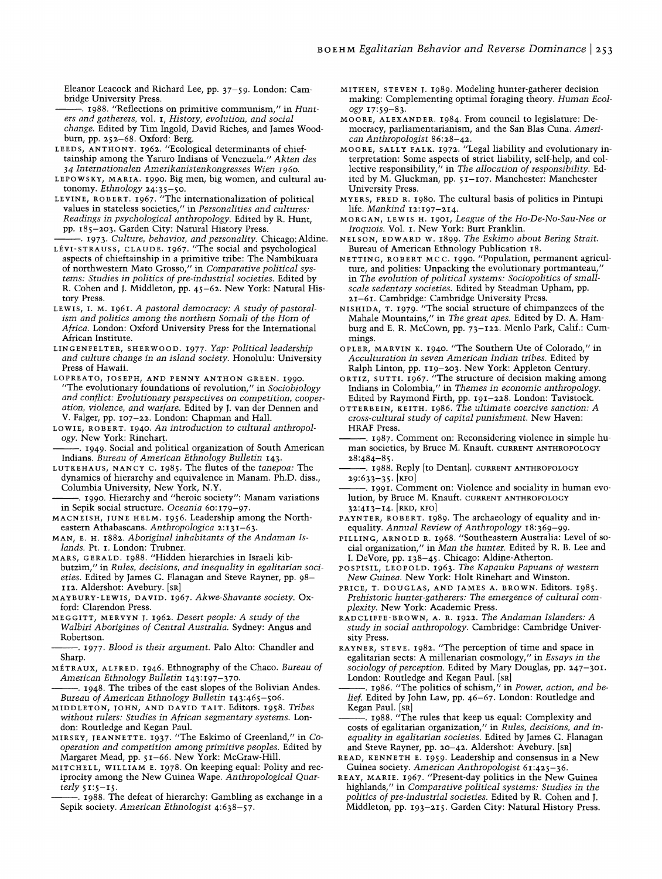Eleanor Leacock and Richard Lee, pp. 37-59. London: Cambridge University Press.

---. 1988. "Reflections on primitive communism," in *Hunters and gatherers,* vol. I, *History, evolution, and social change.* Edited by Tim Ingold, David Riches, and James Woodbum, pp. 252-68. Oxford: Berg.

LEEDS, ANTHONY. 1962. "Ecological determinants of chieftainship among the Yaruro Indians of Venezuela." *Akten des 34 Internationalen Amerikanistenkongresses Wien* r960.

LEPOWSKY, MARIA. 1990. Big men, big women, and cultural autonomy. *Ethnology 24:35-50.* 

LEVINE, ROBERT. 1967. "The internationalization of political values in stateless societies," in *Personalities and cultures: Readings in psychological anthropology.* Edited by R. Hunt, pp. 185-203. Garden City: Natural History Press.

---. 1973. *Culture, behavior, and personality.* Chicago: Aldine. LEVI-STRAUSS, CLAUDE. 1967. "The social and psychological aspects of chieftainship in a primitive tribe: The Nambikuara of northwestern Mato Grosso," in *Comparative political systems: Studies in politics of pre-industrial societies.* Edited by R. Cohen and J. Middleton, pp. 45-62. New York: Natural History Press.

LEWIS, 1. M. 1961. *A pastoral democracy: A study of pastoralism and politics among the northern Somali of the Hom of Africa.* London: Oxford University Press for the International African Institute.

LINGENFELTER, SHERWOOD. 1977. *Yap: Political leadership and culture change in an island society.* Honolulu: University Press of Hawaii.

LOPREATO, TOSEPH, AND PENNY ANTHON GREEN. 1990. "The evolutionary foundations of revolution," in *Sociobiology and conflict: Evolutionary perspectives* on *competition, cooperation, violence, and warfare.* Edited by J. van der Dennen and V. Falger, pp. I07-22. London: Chapman and Hall.

- LOWIE, ROBERT. 1940. *An introduction* to *cultural anthropology.* New York: Rinehart.
- . 1949. Social and political organization of South American Indians. *Bureau of American Ethnology Bulletin 143.*

LUTKEHAUS, NANCY C. 1985. The flutes of the *tanepoa:* The dynamics of hierarchy and equivalence in Manam. Ph.D. diss., Columbia University, New York, N.Y.

- 1990. Hierarchy and "heroic society": Manam variations in Sepik social structure. *Oceania* 60: 179-97.
- MACNEISH, TUNE HELM. 1956. Leadership among the Northeastern Athabascans. *Anthropologica 2:131-63.*

MAN, E. H. 1882. *Aboriginal inhabitants of the Andaman Islands.* Pt. 1. London: Trubner.

MARS, GERALD. 1988. "Hidden hierarchies in Israeli kibbutzim," in *Rules, decisions, and inequality in egalitarian societies.* Edited by James G. Flanagan and Steve Rayner, pp. 98- II2. Aldershot: Avebury. [SRI

MAYBURY-LEWIS, DAVID. 1967. *Akwe-Shavante society.* Oxford: Clarendon Press.

MEGGITT, MERVYN T. 1962. *Desert people: A study of the Walbiri Aborigines of Central Australia.* Sydney: Angus and Robertson.

--. 1977. *Blood is their argument.* Palo Alto: Chandler and Sharp.

METRAUX, ALFRED. 1946. Ethnography of the Chaco. *Bureau of American Ethnology Bulletin 143:197-370.* 

. 1948. The tribes of the east slopes of the Bolivian Andes. *Bureau of American Ethnology Bulletin 143:465-506.* 

MIDDLETON, TOHN, AND DAVID TAIT. Editors. 1958. *Tribes without rulers: Studies in African segmentary systems.* London: Routledge and Kegan Paul.

MIRSKY, TEANNETTE. 1937. "The Eskimo of Greenland," in *Cooperation and competition among primitive peoples.* Edited by Margaret Mead, pp. 51-66. New York: McGraw-Hill.

MITCHELL, WILLIAM E. 1978. On keeping equal: Polity and reciprocity among the New Guinea Wape. *Anthropological Quar* $terly$   $51:5-15$ 

--. 1988. The defeat of hierarchy: Gambling as exchange in a Sepik society. *American Ethnologist 4:638-57.* 

MITHEN, STEVEN T. 1989. Modeling hunter-gatherer decision making: Complementing optimal foraging theory. *Human Ecology 17:59-83.* 

- MOORE, ALEXANDER. 1984. From council to legislature: Democracy, parliamentarianism, and the San BIas Cuna. *American Anthropologist 86:28-42.*
- MOORE, SALLY FALK. 1972. "Legal liability and evolutionary interpretation: Some aspects of strict liability, self-help, and collective responsibility," in *The allocation of responsibility.* Edited by M. Gluckman, pp. 5 1-I07. Manchester: Manchester University Press.
- MYERS, FRED R. 1980. The cultural basis of politics in Pintupi life. *Mankind* 12: 197-214.
- MORGAN, LEWIS H. 1901, *League of the Ho-De-No-Sau-Nee or Iroquois.* Vol. 1. New York: Burt Franklin.
- NELSON, EDWARD W. 1899. *The Eskimo about Bering Strait.*  Bureau of American Ethnology Publication 18.

NETTING, ROBERT MC C. 1990. "Population, permanent agriculture, and polities: Unpacking the evolutionary portmanteau,' in *The evolution of political systems: Sociopolitics of smallscale sedentary societies.* Edited by Steadman Upham, pp. 21-61. Cambridge: Cambridge University Press.

NISHIDA, T. 1979. "The social structure of chimpanzees of the Mahale Mountains," in *The great apes.* Edited by D. A. Hamburg and E. R. McCown, pp. 73-122. Menlo Park, Calif.: Cummings.

OPLER, MARVIN K. 1940. "The Southern Ute of Colorado," in *Acculturation in seven American Indian tribes.* Edited by Ralph Linton, pp. II9-203. New York: Appleton Century.

ORTIZ, SUTT1. 1967. "The structure of decision making among Indians in Colombia," in *Themes in economic anthropology.*  Edited by Raymond Firth, pp. 191-228. London: Tavistock.

OTTERBEIN, KEITH. 1986. *The ultimate coercive sanction: A cross-cultural study of capital punishment.* New Haven: HRAF Press.

. 1987. Comment on: Reconsidering violence in simple human societies, by Bruce M. Knauft. CURRENT ANTHROPOLOGY 28:484-85.

- -. 1988. Reply [to Dentan]. CURRENT ANTHROPOLOGY 29:633-35. [KFol
- $\frac{1}{2}$  1991. Comment on: Violence and sociality in human evolution, by Bruce M. Knauft. CURRENT ANTHROPOLOGY 32:413-14. [RKD, KFol
- PAYNTER, ROBERT. 1989. The archaeology of equality and inequality. *Annual Review of Anthropology 18:369-99.*
- PILLING, ARNOLD R. 1968. "Southeastern Australia: Level of social organization," in *Man the hunter.* Edited by R. B. Lee and 1. DeVore, pp. 138-45. Chicago: Aldine-Atherton.
- POSPISIL, LEOPOLD. 1963. *The Kapauku Papuans of western New Guinea.* New York: Holt Rinehart and Winston.
- PRICE, T. DOUGLAS, AND JAMES A. BROWN. Editors. 1985. *Prehistoric hunter-gatherers: The emergence of cultural complexity.* New York: Academic Press.

RADCLIFFE-BROWN, A. R. 1922. *The Andaman Islanders: A study in social anthropology.* Cambridge: Cambridge University Press.

RA YNER, STEVE. 1982. "The perception of time and space in egalitarian sects: A millenarian cosmology," in *Essays in the sociology of perception.* Edited by Mary Douglas, pp. 247-301. London: Routledge and Kegan Paul. [SR]

1986. "The politics of schism," in *Power, action, and belief.* Edited by John Law, pp. 46-67. London: Routledge and Kegan Paul. [SRI

. 1988. "The rules that keep us equal: Complexity and costs of egalitarian organization," in *Rules, decisions, and inequality in egalitarian societies.* Edited by James G. Flanagan and Steve Rayner, pp. 20-42. Aldershot: Avebury. [SRI

READ, KENNETH E. 1959. Leadership and consensus in a New Guinea society. *American Anthropologist 61:425-36.* 

REAY, MARIE. 1967. "Present-day politics in the New Guinea highlands," in *Comparative political systems: Studies in the politics of pre-industrial societies.* Edited by R. Cohen and J. Middleton, pp. 193-215. Garden City: Natural History Press.